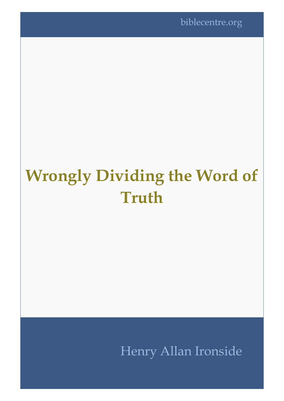biblecentre.org

# **Wrongly Dividing the Word of Truth**

Henry Allan Ironside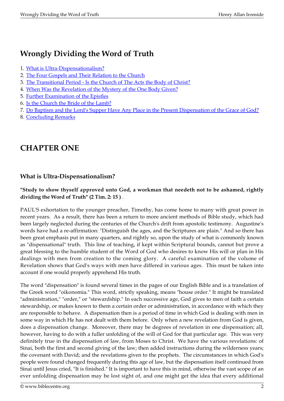# **Wrongly Dividing the Word of Truth**

- 1. [What is Ultra-Dispensationalism?](#page-1-0)
- 2. [The Four Gospels and Their Relation to the Church](#page-4-0)
- 3. [The Transitional Period Is the Church of The Acts the Body of Christ?](#page-10-0)
- 4. [When Was the Revelation of the Mystery of the One Body Given?](#page-14-0)
- 5. [Further Examination of the Epistles](#page-20-0)
- 6. [Is the Church the Bride of the Lamb?](#page-23-0)
- 7. [Do Baptism and the Lord's Supper Have Any Place in the Present Dispensation of the Grace of God?](#page-27-0)
- 8. [Concluding Remarks](#page-30-0)

# <span id="page-1-0"></span>**CHAPTER ONE**

## **What is Ultra-Dispensationalism?**

#### **"Study to show thyself approved unto God, a workman that needeth not to be ashamed, rightly dividing the Word of Truth" (2 Tim. 2: 15 )** .

PAUL'S exhortation to the younger preacher, Timothy, has come home to many with great power in recent years. As a result, there has been a return to more ancient methods of Bible study, which had been largely neglected during the centuries of the Church's drift from apostolic testimony. Augustine's words have had a re-affirmation: "Distinguish the ages, and the Scriptures are plain." And so there has been great emphasis put in many quarters, and rightly so, upon the study of what is commonly known as "dispensational" truth. This line of teaching, if kept within Scriptural bounds, cannot but prove a great blessing to the humble student of the Word of God who desires to know His will or plan in His dealings with men from creation to the coming glory. A careful examination of the volume of Revelation shows that God's ways with men have differed in various ages. This must be taken into account if one would properly apprehend His truth.

The word "dispensation" is found several times in the pages of our English Bible and is a translation of the Greek word "oikonomia." This word, strictly speaking, means "house order." It might be translated "administration," "order," or "stewardship." In each successive age, God gives to men of faith a certain stewardship, or makes known to them a certain order or administration, in accordance with which they are responsible to behave. A dispensation then is a period of time in which God is dealing with men in some way in which He has not dealt with them before. Only when a new revelation from God is given, does a dispensation change. Moreover, there may be degrees of revelation in one dispensation; all, however, having to do with a fuller unfolding of the will of God for that particular age. This was very definitely true in the dispensation of law, from Moses to Christ. We have the various revelations: of Sinai, both the first and second giving of the law; then added instructions during the wilderness years; the covenant with David; and the revelations given to the prophets. The circumstances in which God's people were found changed frequently during this age of law, but the dispensation itself continued from Sinai until Jesus cried, "It is finished." It is important to have this in mind, otherwise the vast scope of an ever unfolding dispensation may be lost sight of, and one might get the idea that every additional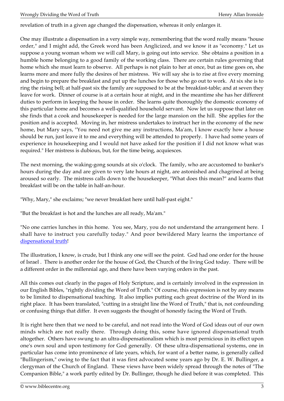revelation of truth in a given age changed the dispensation, whereas it only enlarges it.

One may illustrate a dispensation in a very simple way, remembering that the word really means "house order," and I might add, the Greek word has been Anglicized, and we know it as "economy." Let us suppose a young woman whom we will call Mary, is going out into service. She obtains a position in a humble home belonging to a good family of the working class. There are certain rules governing that home which she must learn to observe. All perhaps is not plain to her at once, but as time goes on, she learns more and more fully the desires of her mistress. We will say she is to rise at five every morning and begin to prepare the breakfast and put up the lunches for those who go out to work. At six she is to ring the rising bell; at half-past six the family are supposed to be at the breakfast-table; and at seven they leave for work. Dinner of course is at a certain hour at night, and in the meantime she has her different duties to perform in keeping the house in order. She learns quite thoroughly the domestic economy of this particular home and becomes a well-qualified household servant. Now let us suppose that later on she finds that a cook and housekeeper is needed for the large mansion on the hill. She applies for the position and is accepted. Moving in, her mistress undertakes to instruct her in the economy of the new home, but Mary says, "You need not give me any instructions, Ma'am, I know exactly how a house should be run, just leave it to me and everything will be attended to properly. I have had some years of experience in housekeeping and I would not have asked for the position if I did not know what was required." Her mistress is dubious, but, for the time being, acquiesces.

The next morning, the waking-gong sounds at six o'clock. The family, who are accustomed to banker's hours during the day and are given to very late hours at night, are astonished and chagrined at being aroused so early. The mistress calls down to the housekeeper, "What does this mean?" and learns that breakfast will be on the table in half-an-hour.

"Why, Mary," she exclaims; "we never breakfast here until half-past eight."

"But the breakfast is hot and the lunches are all ready, Ma'am."

"No one carries lunches in this home. You see, Mary, you do not understand the arrangement here. I shall have to instruct you carefully today." And poor bewildered Mary learns the importance of [dispensational truth!](http://biblecentre.org/content.php?mode=7&item=813)

The illustration, I know, is crude, but I think any one will see the point. God had one order for the house of Israel . There is another order for the house of God, the Church of the living God today. There will be a different order in the millennial age, and there have been varying orders in the past.

All this comes out clearly in the pages of Holy Scripture, and is certainly involved in the expression in our English Bibles, "rightly dividing the Word of Truth." Of course, this expression is not by any means to be limited to dispensational teaching. It also implies putting each great doctrine of the Word in its right place. It has been translated, "cutting in a straight line the Word of Truth," that is, not confounding or confusing things that differ. It even suggests the thought of honestly facing the Word of Truth.

It is right here then that we need to be careful, and not read into the Word of God ideas out of our own minds which are not really there. Through doing this, some have ignored dispensational truth altogether. Others have swung to an ultra-dispensationalism which is most pernicious in its effect upon one's own soul and upon testimony for God generally. Of these ultra-dispensational systems, one in particular has come into prominence of late years, which, for want of a better name, is generally called "Bullingerism," owing to the fact that it was first advocated some years ago by Dr. E. W. Bullinger, a clergyman of the Church of England. These views have been widely spread through the notes of "The Companion Bible," a work partly edited by Dr. Bullinger, though he died before it was completed. This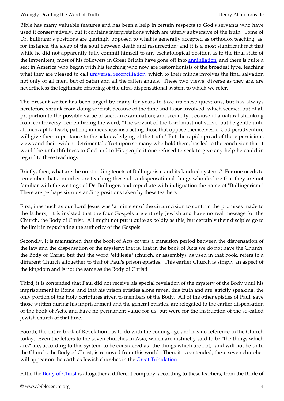Bible has many valuable features and has been a help in certain respects to God's servants who have used it conservatively, but it contains interpretations which are utterly subversive of the truth. Some of Dr. Bullinger's positions are glaringly opposed to what is generally accepted as orthodox teaching, as, for instance, the sleep of the soul between death and resurrection; and it is a most significant fact that while he did not apparently fully commit himself to any eschatological position as to the final state of the impenitent, most of his followers in Great Britain have gone off into [annihilation,](http://biblecentre.org/content.php?mode=7&item=487) and there is quite a sect in America who began with his teaching who now are restorationists of the broadest type, teaching what they are pleased to call *universal reconciliation*, which to their minds involves the final salvation not only of all men, but of Satan and all the fallen angels. These two views, diverse as they are, are nevertheless the legitimate offspring of the ultra-dispensational system to which we refer.

The present writer has been urged by many for years to take up these questions, but has always heretofore shrunk from doing so; first, because of the time and labor involved, which seemed out of all proportion to the possible value of such an examination; and secondly, because of a natural shrinking from controversy, remembering the word, "The servant of the Lord must not strive; but be gentle unto all men, apt to teach, patient; in meekness instructing those that oppose themselves; if God peradventure will give them repentance to the acknowledging of the truth." But the rapid spread of these pernicious views and their evident detrimental effect upon so many who hold them, has led to the conclusion that it would be unfaithfulness to God and to His people if one refused to seek to give any help he could in regard to these teachings.

Briefly, then, what are the outstanding tenets of Bullingerism and its kindred systems? For one needs to remember that a number are teaching these ultra-dispensational things who declare that they are not familiar with the writings of Dr. Bullinger, and repudiate with indignation the name of "Bullingerism." There are perhaps six outstanding positions taken by these teachers:

First, inasmuch as our Lord Jesus was "a minister of the circumcision to confirm the promises made to the fathers," it is insisted that the four Gospels are entirely Jewish and have no real message for the Church, the Body of Christ. All might not put it quite as boldly as this, but certainly their disciples go to the limit in repudiating the authority of the Gospels.

Secondly, it is maintained that the book of Acts covers a transition period between the dispensation of the law and the dispensation of the mystery; that is, that in the book of Acts we do not have the Church, the Body of Christ, but that the word "ekklesia" (church, or assembly), as used in that book, refers to a different Church altogether to that of Paul's prison epistles. This earlier Church is simply an aspect of the kingdom and is not the same as the Body of Christ!

Third, it is contended that Paul did not receive his special revelation of the mystery of the Body until his imprisonment in Rome, and that his prison epistles alone reveal this truth and are, strictly speaking, the only portion of the Holy Scriptures given to members of the Body. All of the other epistles of Paul, save those written during his imprisonment and the general epistles, are relegated to the earlier dispensation of the book of Acts, and have no permanent value for us, but were for the instruction of the so-called Jewish church of that time.

Fourth, the entire book of Revelation has to do with the coming age and has no reference to the Church today. Even the letters to the seven churches in Asia, which are distinctly said to be "the things which are," are, according to this system, to be considered as "the things which are not," and will not be until the Church, the Body of Christ, is removed from this world. Then, it is contended, these seven churches will appear on the earth as Jewish churches in the [Great Tribulation](http://biblecentre.org/content.php?mode=7&item=630).

Fifth, the <u>Body of Christ</u> is altogether a different company, according to these teachers, from the Bride of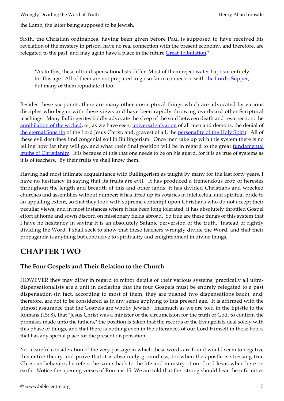the Lamb, the latter being supposed to be Jewish.

Sixth, the Christian ordinances, having been given before Paul is supposed to have received his revelation of the mystery in prison, have no real connection with the present economy, and therefore, are relegated to the past, and may again have a place in the future [Great Tribulation](http://biblecentre.org/content.php?mode=7&item=630).\*

\*As to this, these ultra-dispensationalists differ. Most of them reject [water baptism](http://biblecentre.org/content.php?mode=7&item=1347) entirely for this age. All of them are not prepared to go so far in connection with [the Lord's Supper](http://biblecentre.org/content.php?mode=7&item=609), but many of them repudiate it too.

Besides these six points, there are many other unscriptural things which are advocated by various disciples who began with these views and have been rapidly throwing overboard other Scriptural teachings. Many Bullingerites boldly advocate the sleep of the soul between death and resurrection, the [annihilation of the wicked](http://biblecentre.org/content.php?mode=7&item=487), or, as we have seen, [universal salvation](http://biblecentre.org/content.php?mode=7&item=487) of all men and demons, the denial of [the eternal Sonship](http://biblecentre.org/content.php?mode=7&item=583) of the Lord Jesus Christ, and, gravest of all, the [personality of the Holy Spirit.](http://biblecentre.org/content.php?mode=7&item=1319) All of these evil doctrines find congenial soil in Bullingerism. Once men take up with this system there is no telling how far they will go, and what their final position will be in regard to the great *[fundamental](http://biblecentre.org/content.php?mode=8&cat=6)* [truths of Christianity](http://biblecentre.org/content.php?mode=8&cat=6). It is because of this that one needs to be on his guard, for it is as true of systems as it is of teachers, "By their fruits ye shall know them."

Having had most intimate acquaintance with Bullingerism as taught by many for the last forty years, I have no hesitancy in saying that its fruits are evil. It has produced a tremendous crop of heresies throughout the length and breadth of this and other lands, it has divided Christians and wrecked churches and assemblies without number; it has lifted up its votaries in intellectual and spiritual pride to an appalling extent, so that they look with supreme contempt upon Christians who do not accept their peculiar views; and in most instances where it has been long tolerated, it has absolutely throttled Gospel effort at home and sown discord on missionary fields abroad. So true are these things of this system that I have no hesitancy in saying it is an absolutely Satanic perversion of the truth. Instead of rightly dividing the Word, I shall seek to show that these teachers wrongly divide the Word, and that their propaganda is anything but conducive to spirituality and enlightenment in divine things.

# <span id="page-4-0"></span>**CHAPTER TWO**

## **The Four Gospels and Their Relation to the Church**

HOWEVER they may differ in regard to minor details of their various systems, practically all ultradispensationalists are a unit in declaring that the four Gospels must be entirely relegated to a past dispensation (in fact, according to most of them, they are pushed two dispensations back), and, therefore, are not to be considered as in any sense applying to this present age. It is affirmed with the utmost assurance that the Gospels are wholly Jewish. Inasmuch as we are told in the Epistle to the Romans (15: 8), that "Jesus Christ was a minister of the circumcision for the truth of God, to confirm the promises made unto the fathers," the position is taken that the records of the Evangelists deal solely with this phase of things, and that there is nothing even in the utterances of our Lord Himself in those books that has any special place for the present dispensation.

Yet a careful consideration of the very passage in which these words are found would seem to negative this entire theory and prove that it is absolutely groundless, for when the apostle is stressing true Christian behavior, he refers the saints back to the life and ministry of our Lord Jesus when here on earth. Notice the opening verses of Romans 15. We are told that the "strong should bear the infirmities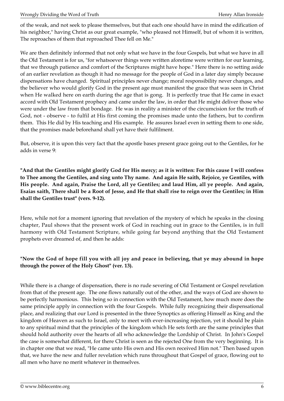of the weak, and not seek to please themselves, but that each one should have in mind the edification of his neighbor," having Christ as our great example, "who pleased not Himself, but of whom it is written, The reproaches of them that reproached Thee fell on Me."

We are then definitely informed that not only what we have in the four Gospels, but what we have in all the Old Testament is for us, "for whatsoever things were written aforetime were written for our learning, that we through patience and comfort of the Scriptures might have hope." Here there is no setting aside of an earlier revelation as though it had no message for the people of God in a later day simply because dispensations have changed. Spiritual principles never change; moral responsibility never changes, and the believer who would glorify God in the present age must manifest the grace that was seen in Christ when He walked here on earth during the age that is gong. It is perfectly true that He came in exact accord with Old Testament prophecy and came under the law, in order that He might deliver those who were under the law from that bondage. He was in reality a minister of the circumcision for the truth of God, not - observe - to fulfil at His first coming the promises made unto the fathers, but to confirm them. This He did by His teaching and His example. He assures Israel even in setting them to one side, that the promises made beforehand shall yet have their fulfilment.

But, observe, it is upon this very fact that the apostle bases present grace going out to the Gentiles, for he adds in verse 9:

**"And that the Gentiles might glorify God for His mercy; as it is written: For this cause I will confess to Thee among the Gentiles, and sing unto Thy name. And again He saith, Rejoice, ye Gentiles, with His people. And again, Praise the Lord, all ye Gentiles; and laud Him, all ye people. And again, Esaias saith, There shall be a Root of Jesse, and He that shall rise to reign over the Gentiles; in Him shall the Gentiles trust" (vers. 9-12).**

Here, while not for a moment ignoring that revelation of the mystery of which he speaks in the closing chapter, Paul shows that the present work of God in reaching out in grace to the Gentiles, is in full harmony with Old Testament Scripture, while going far beyond anything that the Old Testament prophets ever dreamed of, and then he adds:

#### **"Now the God of hope fill you with all joy and peace in believing, that ye may abound in hope through the power of the Holy Ghost" (ver. 13).**

While there is a change of dispensation, there is no rude severing of Old Testament or Gospel revelation from that of the present age. The one flows naturally out of the other, and the ways of God are shown to be perfectly harmonious. This being so in connection with the Old Testament, how much more does the same principle apply in connection with the four Gospels. While fully recognizing their dispensational place, and realizing that our Lord is presented in the three Synoptics as offering Himself as King and the kingdom of Heaven as such to Israel, only to meet with ever-increasing rejection, yet it should be plain to any spiritual mind that the principles of the kingdom which He sets forth are the same principles that should hold authority over the hearts of all who acknowledge the Lordship of Christ. In John's Gospel the case is somewhat different, for there Christ is seen as the rejected One from the very beginning. It is in chapter one that we read, "He came unto His own and His own received Him not." Then based upon that, we have the new and fuller revelation which runs throughout that Gospel of grace, flowing out to all men who have no merit whatever in themselves.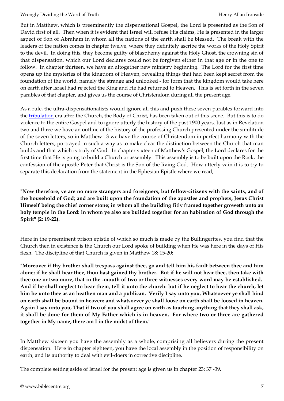But in Matthew, which is preeminently the dispensational Gospel, the Lord is presented as the Son of David first of all. Then when it is evident that Israel will refuse His claims, He is presented in the larger aspect of Son of Abraham in whom all the nations of the earth shall be blessed. The break with the leaders of the nation comes in chapter twelve, where they definitely ascribe the works of the Holy Spirit to the devil. In doing this, they become guilty of blasphemy against the Holy Ghost, the crowning sin of that dispensation, which our Lord declares could not be forgiven either in that age or in the one to follow. In chapter thirteen, we have an altogether new ministry beginning. The Lord for the first time opens up the mysteries of the kingdom of Heaven, revealing things that had been kept secret from the foundation of the world, namely the strange and unlooked - for form that the kingdom would take here on earth after Israel had rejected the King and He had returned to Heaven. This is set forth in the seven parables of that chapter, and gives us the course of Christendom during all the present age.

As a rule, the ultra-dispensationalists would ignore all this and push these seven parables forward into the [tribulation](http://biblecentre.org/content.php?mode=8&cat=13) era after the Church, the Body of Christ, has been taken out of this scene. But this is to do violence to the entire Gospel and to ignore utterly the history of the past 1900 years. Just as in Revelation two and three we have an outline of the history of the professing Church presented under the similitude of the seven letters, so in Matthew 13 we have the course of Christendom in perfect harmony with the Church letters, portrayed in such a way as to make clear the distinction between the Church that man builds and that which is truly of God. In chapter sixteen of Matthew's Gospel, the Lord declares for the first time that He is going to build a Church or assembly. This assembly is to be built upon the Rock, the confession of the apostle Peter that Christ is the Son of the living God. How utterly vain it is to try to separate this declaration from the statement in the Ephesian Epistle where we read,

**"Now therefore, ye are no more strangers and foreigners, but fellow-citizens with the saints, and of the household of God; and are built upon the foundation of the apostles and prophets, Jesus Christ Himself being the chief corner stone; in whom all the building fitly framed together groweth unto an holy temple in the Lord: in whom ye also are builded together for an habitation of God through the Spirit" (2: 19-22).**

Here in the preeminent prison epistle of which so much is made by the Bullingerites, you find that the Church then in existence is the Church our Lord spoke of building when He was here in the days of His flesh. The discipline of that Church is given in Matthew 18: 15-20:

**"Moreover if thy brother shall trespass against thee, go and tell him his fault between thee and him alone; if he shall hear thee, thou hast gained thy brother. But if he will not hear thee, then take with thee one or two more, that in the -mouth of two or three witnesses every word may be established. And if he shall neglect to bear them, tell it unto the church: but if he neglect to hear the church, let him be unto thee as an heathen man and a publican. Verily I say unto you, Whatsoever ye shall bind on earth shall be bound in heaven: and whatsoever ye shall loose on earth shall be loosed in heaven. Again I say unto you, That if two of you shall agree on earth as touching anything that they shall ask, it shall be done for them of My Father which is in heaven. For where two or three are gathered together in My name, there am I in the midst of them."**

In Matthew sixteen you have the assembly as a whole, comprising all believers during the present dispensation. Here in chapter eighteen, you have the local assembly in the position of responsibility on earth, and its authority to deal with evil-doers in corrective discipline.

The complete setting aside of Israel for the present age is given us in chapter 23: 37 -39,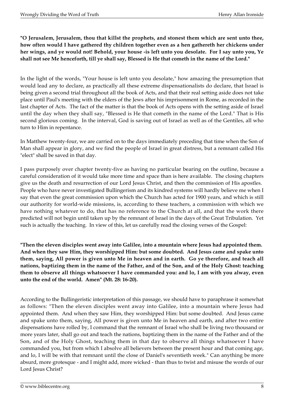#### **"O Jerusalem, Jerusalem, thou that killst the prophets, and stonest them which are sent unto thee, how often would I have gathered thy children together even as a hen gathereth her chickens under her wings, and ye would not! Behold, your house -is left unto you desolate. For I say unto you, Ye shall not see Me henceforth, till ye shall say, Blessed is He that cometh in the name of the Lord."**

In the light of the words, "Your house is left unto you desolate," how amazing the presumption that would lead any to declare, as practically all these extreme dispensationalists do declare, that Israel is being given a second trial throughout all the book of Acts, and that their real setting aside does not take place until Paul's meeting with the elders of the Jews after his imprisonment in Rome, as recorded in the last chapter of Acts. The fact of the matter is that the book of Acts opens with the setting aside of Israel until the day when they shall say, "Blessed is He that cometh in the name of the Lord." That is His second glorious coming. In the interval, God is saving out of Israel as well as of the Gentiles, all who turn to Him in repentance.

In Matthew twenty-four, we are carried on to the days immediately preceding that time when the Son of Man shall appear in glory, and we find the people of Israel in great distress, but a remnant called His "elect" shall be saved in that day.

I pass purposely over chapter twenty-five as having no particular bearing on the outline, because a careful consideration of it would take more time and space than is here available. The closing chapters give us the death and resurrection of our Lord Jesus Christ, and then the commission of His apostles. People who have never investigated Bullingerism and its kindred systems will hardly believe me when I say that even the great commission upon which the Church has acted for 1900 years, and which is still our authority for world-wide missions, is, according to these teachers, a commission with which we have nothing whatever to do, that has no reference to the Church at all, and that the work there predicted will not begin until taken up by the remnant of Israel in the days of the Great Tribulation. Yet such is actually the teaching. In view of this, let us carefully read the closing verses of the Gospel:

**"Then the eleven disciples went away into Galilee, into a mountain where Jesus had appointed them. And when they saw Him, they worshipped Him: but some doubted. And Jesus came and spake unto them, saying, All power is given unto Me in heaven and in earth. Go ye therefore, and teach all nations, baptizing them in the name of the Father, and of the Son, and of the Holy Ghost: teaching them to observe all things whatsoever I have commanded you: and lo, I am with you alway, even unto the end of the world. Amen" (Mt. 28: 16-20).**

According to the Bullingeristic interpretation of this passage, we should have to paraphrase it somewhat as follows: "Then the eleven disciples went away into Galilee, into a mountain where Jesus had appointed them. And when they saw Him, they worshipped Him: but some doubted. And Jesus came and spake unto them, saying, All power is given unto Me in heaven and earth, and after two entire dispensations have rolled by, I command that the remnant of Israel who shall be living two thousand or more years later, shall go out and teach the nations, baptizing them in the name of the Father and of the Son, and of the Holy Ghost, teaching them in that day to observe all things whatsoever I have commanded you, but from which I absolve all believers between the present hour and that coming age, and lo, I will be with that remnant until the close of Daniel's seventieth week." Can anything be more absurd, more grotesque - and I might add, more wicked - than thus to twist and misuse the words of our Lord Jesus Christ?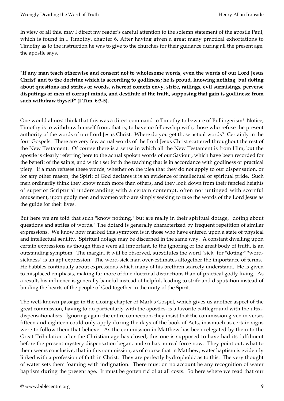In view of all this, may I direct my reader's careful attention to the solemn statement of the apostle Paul, which is found in I Timothy, chapter 6. After having given a great many practical exhortations to Timothy as to the instruction he was to give to the churches for their guidance during all the present age, the apostle says,

**"If any man teach otherwise and consent not to wholesome words, even the words of our Lord Jesus Christ' and to the doctrine which is according to godliness; he is proud, knowing nothing, but doting about questions and strifes of words, whereof cometh envy, strife, railings, evil surmisings, perverse disputings of men of corrupt minds, and destitute of the truth, supposing that gain is godliness: from such withdraw thyself" (I Tim. 6:3-5).**

One would almost think that this was a direct command to Timothy to beware of Bullingerism! Notice, Timothy is to withdraw himself from, that is, to have no fellowship with, those who refuse the present authority of the words of our Lord Jesus Christ. Where do you get those actual words? Certainly in the four Gospels. There are very few actual words of the Lord Jesus Christ scattered throughout the rest of the New Testament. Of course there is a sense in which all the New Testament is from Him, but the apostle is clearly referring here to the actual spoken words of our Saviour, which have been recorded for the benefit of the saints, and which set forth the teaching that is in accordance with godliness or practical piety. If a man refuses these words, whether on the plea that they do not apply to our dispensation, or for any other reason, the Spirit of God declares it is an evidence of intellectual or spiritual pride. Such men ordinarily think they know much more than others, and they look down from their fancied heights of superior Scriptural understanding with a certain contempt, often not untinged with scornful amusement, upon godly men and women who are simply seeking to take the words of the Lord Jesus as the guide for their lives.

But here we are told that such "know nothing," but are really in their spiritual dotage, "doting about questions and strifes of words." The dotard is generally characterized by frequent repetition of similar expressions. We know how marked this symptom is in those who have entered upon a state of physical and intellectual senility. Spiritual dotage may be discerned in the same way. A constant dwelling upon certain expressions as though these were all important, to the ignoring of the great body of truth, is an outstanding symptom. The margin, it will be observed, substitutes the word "sick" for "doting;" "wordsickness" is an apt expression. The word-sick man over-estimates altogether the importance of terms. He babbles continually about expressions which many of his brethren scarcely understand. He is given to misplaced emphasis, making far more of fine doctrinal distinctions than of practical godly living. As a result, his influence is generally baneful instead of helpful, leading to strife and disputation instead of binding the hearts of the people of God together in the unity of the Spirit.

The well-known passage in the closing chapter of Mark's Gospel, which gives us another aspect of the great commission, having to do particularly with the apostles, is a favorite battleground with the ultradispensationalists. Ignoring again the entire connection, they insist that the commission given in verses fifteen and eighteen could only apply during the days of the book of Acts, inasmuch as certain signs were to follow them that believe. As the commission in Matthew has been relegated by them to the Great Tribulation after the Christian age has closed, this one is supposed to have had its fulfilment before the present mystery dispensation began, and so has no real force now. They point out, what to them seems conclusive, that in this commission, as of course that in Matthew, water baptism is evidently linked with a profession of faith in Christ. They are perfectly hydrophobic as to this. The very thought of water sets them foaming with indignation. There must on no account be any recognition of water baptism during the present age. It must be gotten rid of at all costs. So here where we read that our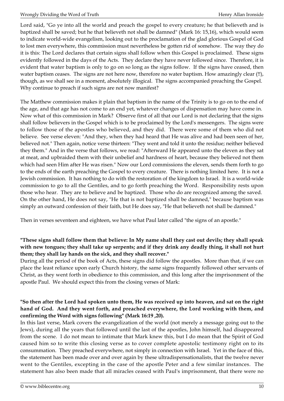Lord said, "Go ye into all the world and preach the gospel to every creature; he that believeth and is baptized shall be saved; but he that believeth not shall be damned" (Mark 16: 15,16), which would seem to indicate world-wide evangelism, looking out to the proclamation of the glad glorious Gospel of God to lost men everywhere, this commission must nevertheless be gotten rid of somehow. The way they do it is this: The Lord declares that certain signs shall follow when this Gospel is proclaimed. These signs evidently followed in the days of the Acts. They declare they have never followed since. Therefore, it is evident that water baptism is only to go on so long as the signs follow. If the signs have ceased, then water baptism ceases. The signs are not here now, therefore no water baptism. How amazingly clear (!!), though, as we shall see in a moment, absolutely illogical. The signs accompanied preaching the Gospel. Why continue to preach if such signs are not now manifest?

The Matthew commission makes it plain that baptism in the name of the Trinity is to go on to the end of the age, and that age has not come to an end yet, whatever changes of dispensation may have come in. Now what of this commission in Mark? Observe first of all that our Lord is not declaring that the signs shall follow believers in the Gospel which is to be proclaimed by the Lord's messengers. The signs were to follow those of the apostles who believed, and they did. There were some of them who did not believe. See verse eleven: "And they, when they had heard that He was alive and had been seen of her, believed not." Then again, notice verse thirteen: "They went and told it unto the residue; neither believed they them." And in the verse that follows, we read: "Afterward He appeared unto the eleven as they sat at meat, and upbraided them with their unbelief and hardness of heart, because they believed not them which had seen Him after He was risen." Now our Lord commissions the eleven, sends them forth to go to the ends of the earth preaching the Gospel to every creature. There is nothing limited here. It is not a Jewish commission. It has nothing to do with the restoration of the kingdom to Israel. It is a world-wide commission to go to all the Gentiles, and to go forth preaching the Word. Responsibility rests upon those who hear. They are to believe and be baptized. Those who do are recognized among the saved. On the other hand, He does not say, "He that is not baptized shall be damned," because baptism was simply an outward confession of their faith, but He does say, "He that believeth not shall be damned."

Then in verses seventeen and eighteen, we have what Paul later called "the signs of an apostle."

#### **"These signs shall follow them that believe: In My name shall they cast out devils; they shall speak with new tongues; they shall take up serpents; and if they drink any deadly thing, it shall not hurt them; they shall lay hands on the sick, and they shall recover."**

During all the period of the book of Acts, these signs did follow the apostles. More than that, if we can place the least reliance upon early Church history, the same signs frequently followed other servants of Christ, as they went forth in obedience to this commission, and this long after the imprisonment of the apostle Paul. We should expect this from the closing verses of Mark:

#### **"So then after the Lord had spoken unto them, He was received up into heaven, and sat on the right hand of God. And they went forth, and preached everywhere, the Lord working with them, and confirming the Word with signs following" (Mark 16:19 ,20).**

In this last verse, Mark covers the evangelization of the world (not merely a message going out to the Jews), during all the years that followed until the last of the apostles, John himself, had disappeared from the scene. I do not mean to intimate that Mark knew this, but I do mean that the Spirit of God caused him so to write this closing verse as to cover complete apostolic testimony right on to its consummation. They preached everywhere, not simply in connection with Israel. Yet in the face of this, the statement has been made over and over again by these ultradispensationalists, that the twelve never went to the Gentiles, excepting in the case of the apostle Peter and a few similar instances. The statement has also been made that all miracles ceased with Paul's imprisonment, that there were no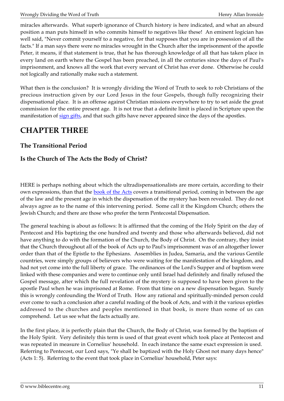miracles afterwards. What superb ignorance of Church history is here indicated, and what an absurd position a man puts himself in who commits himself to negatives like these! An eminent logician has well said, "Never commit yourself to a negative, for that supposes that you are in possession of all the facts." If a man says there were no miracles wrought in the Church after the imprisonment of the apostle Peter, it means, if that statement is true, that he has thorough knowledge of all that has taken place in every land on earth where the Gospel has been preached, in all the centuries since the days of Paul's imprisonment, and knows all the work that every servant of Christ has ever done. Otherwise he could not logically and rationally make such a statement.

What then is the conclusion? It is wrongly dividing the Word of Truth to seek to rob Christians of the precious instruction given by our Lord Jesus in the four Gospels, though fully recognizing their dispensational place. It is an offense against Christian missions everywhere to try to set aside the great commission for the entire present age. It is not true that a definite limit is placed in Scripture upon the manifestation of [sign gifts,](http://biblecentre.org/content.php?mode=7&item=532) and that such gifts have never appeared since the days of the apostles.

## <span id="page-10-0"></span>**CHAPTER THREE**

## **The Transitional Period**

## **Is the Church of The Acts the Body of Christ?**

HERE is perhaps nothing about which the ultradispensationalists are more certain, according to their own expressions, than that the **book of the Acts** covers a transitional period, coming in between the age of the law and the present age in which the dispensation of the mystery has been revealed. They do not always agree as to the name of this intervening period. Some call it the Kingdom Church; others the Jewish Church; and there are those who prefer the term Pentecostal Dispensation.

The general teaching is about as follows: It is affirmed that the coming of the Holy Spirit on the day of Pentecost and His baptizing the one hundred and twenty and those who afterwards believed, did not have anything to do with the formation of the Church, the Body of Christ. On the contrary, they insist that the Church throughout all of the book of Acts up to Paul's imprisonment was of an altogether lower order than that of the Epistle to the Ephesians. Assemblies in Judea, Samaria, and the various Gentile countries, were simply groups of believers who were waiting for the manifestation of the kingdom, and had not yet come into the full liberty of grace. The ordinances of the Lord's Supper and of baptism were linked with these companies and were to continue only until Israel had definitely and finally refused the Gospel message, after which the full revelation of the mystery is supposed to have been given to the apostle Paul when he was imprisoned at Rome. From that time on a new dispensation began. Surely this is wrongly confounding the Word of Truth. How any rational and spiritually-minded person could ever come to such a conclusion after a careful reading of the book of Acts, and with it the various epistles addressed to the churches and peoples mentioned in that book, is more than some of us can comprehend. Let us see what the facts actually are.

In the first place, it is perfectly plain that the Church, the Body of Christ, was formed by the baptism of the Holy Spirit. Very definitely this term is used of that great event which took place at Pentecost and was repeated in measure in Cornelius' household. In each instance the same exact expression is used. Referring to Pentecost, our Lord says, "Ye shall be baptized with the Holy Ghost not many days hence" (Acts 1: 5). Referring to the event that took place in Cornelius' household, Peter says: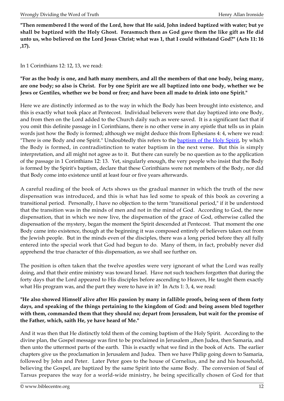**"Then remembered I the word of the Lord, how that He said, John indeed baptized with water; but ye shall be baptized with the Holy Ghost. Forasmuch then as God gave them the like gift as He did unto us, who believed on the Lord Jesus Christ; what was 1, that I could withstand God?" (Acts 11: 16 ,17).**

In 1 Corinthians 12: 12, 13, we read:

**"For as the body is one, and hath many members, and all the members of that one body, being many, are one body; so also is Christ. For by one Spirit are we all baptized into one body, whether we be Jews or Gentiles, whether we be bond or free; and have been all made to drink into one Spirit."**

Here we are distinctly informed as to the way in which the Body has been brought into existence, and this is exactly what took place at Pentecost. Individual believers were that day baptized into one Body, and from then on the Lord added to the Church daily such as were saved. It is a significant fact that if you omit this definite passage in I Corinthians, there is no other verse in any epistle that tells us in plain words just how the Body is formed; although we might deduce this from Ephesians 4: 4, where we read: "There is one Body and one Spirit." Undoubtedly this refers to the [baptism of the Holy Spirit](http://biblecentre.org/content.php?mode=7&item=1326), by which the Body is formed, in contradistinction to water baptism in the next verse. But this is simply interpretation, and all might not agree as to it. But there can surely be no question as to the application of the passage in 1 Corinthians 12: 13. Yet, singularly enough, the very people who insist that the Body is formed by the Spirit's baptism, declare that these Corinthians were not members of the Body, nor did that Body come into existence until at least four or five years afterwards.

A careful reading of the book of Acts shows us the gradual manner in which the truth of the new dispensation was introduced, and this is what has led some to speak of this book as covering a transitional period. Personally, I have no objection to the term "transitional period," if it be understood that the transition was in the minds of men and not in the mind of God. According to God, the new dispensation, that in which we now live, the dispensation of the grace of God, otherwise called the dispensation of the mystery, began the moment the Spirit descended at Pentecost. That moment the one Body came into existence, though at the beginning it was composed entirely of believers taken out from the Jewish people. But in the minds even of the disciples, there was a long period before they all fully entered into the special work that God had begun to do. Many of them, in fact, probably never did apprehend the true character of this dispensation, as we shall see further on.

The position is often taken that the twelve apostles were very ignorant of what the Lord was really doing, and that their entire ministry was toward Israel. Have not such teachers forgotten that during the forty days that the Lord appeared to His disciples before ascending to Heaven, He taught them exactly what His program was, and the part they were to have in it? In Acts 1: 3, 4, we read:

**"He also showed Himself alive after His passion by many in fallible proofs, being seen of them forty days, and speaking of the things pertaining to the kingdom of God: and being assem bled together with them, commanded them that they should no; depart from Jerusalem, but wait for the promise of the Father, which, saith He, ye have heard of Me."**

And it was then that He distinctly told them of the coming baptism of the Holy Spirit. According to the divine plan, the Gospel message was first to be proclaimed in Jerusalem ,,then Judea, then Samaria, and then unto the uttermost parts of the earth. This is exactly what we find in the book of Acts. The earlier chapters give us the proclamation in Jerusalem and Judea. Then we have Philip going down to Samaria, followed by John and Peter. Later Peter goes to the house of Cornelius, and he and his household, believing the Gospel, are baptized by the same Spirit into the same Body. The conversion of Saul of Tarsus prepares the way for a world-wide ministry, he being specifically chosen of God for that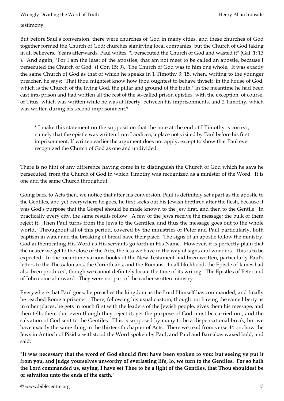testimony.

But before Saul's conversion, there were churches of God in many cities, and these churches of God together formed the Church of God; churches signifying local companies, but the Church of God taking in all believers. Years afterwards, Paul writes, "I persecuted the Church of God and wasted it" (Gal. 1: 13 ). And again, "For I am the least of the apostles, that am not meet to be called an apostle, because I persecuted the Church of God" (I Cor. 15: 9). The Church of God was to him one whole. It was exactly the same Church of God as that of which he speaks in 1 Timothy 3: 15, when, writing to the younger preacher, he says: "That thou mightest know how thou oughtest to behave thyself 'in the house of God, which is the Church of the living God, the pillar and ground of the truth." In the meantime he had been cast into prison and had written all the rest of the so-called prison epistles, with the exception, of course, of Titus, which was written while he was at liberty, between his imprisonments, and 2 Timothy, which was written during his second imprisonment.\*

\* I make this statement on the supposition that the note at the end of I Timothy is correct, namely that the epistle was written from Laodicea, a place not visited by Paul before his first imprisonment. If written earlier the argument does not apply, except to show that Paul ever recognized the Church of God as one and undivided.

There is no hint of any difference having come in to distinguish the Church of God which he says he persecuted, from the Church of God in which Timothy was recognized as a minister of the Word. It is one and the same Church throughout.

Going back to Acts then, we notice that after his conversion, Paul is definitely set apart as the apostle to the Gentiles, and yet everywhere he goes, he first seeks out his Jewish brethren after the flesh, because it was God's purpose that the Gospel should be made known to the Jew first, and then to the Gentile. In practically every city, the same results follow. A few of the Jews receive the message; the bulk of them reject it. Then Paul turns from the Jews to the Gentiles, and thus the message goes out to the whole world. Throughout all of this period, covered by the ministries of Peter and Paul particularly, both baptism in water and the breaking of bread have their place. The signs of an apostle follow the ministry, God authenticating His Word as His servants go forth in His Name. However, it is perfectly plain that the nearer we get to the close of the Acts, the less we have in the way of signs and wonders. This is to be expected. In the meantime various books of the New Testament had been written, particularly Paul's letters to the Thessalonians, the Corinthians, and the Romans. In all likelihood, the Epistle of James had also been produced, though we cannot definitely locate the time of its writing. The Epistles of Peter and of John come afterward. They were not part of the earlier written ministry.

Everywhere that Paul goes, he preaches the kingdom as the Lord Himself has commanded, and finally he reached Rome a prisoner. There, following his usual custom, though not having the same liberty as in other places, he gets in touch first with the leaders of the Jewish people, gives them his message, and then tells them that even though they reject it, yet the purpose of God must be carried out, and the salvation of God sent to the Gentiles. This is supposed by many to be a dispensational break, but we have exactly the same thing in the thirteenth chapter of Acts. There we read from verse 44 on, how the Jews in Antioch of Pisidia withstood the Word spoken by Paul, and Paul and Barnabas waxed bold, and said:

**"It was necessary that the word of God should first have been spoken to you: but seeing ye put it from you, and judge yourselves unworthy of everlasting life, lo, we turn to the Gentiles. For so hath the Lord commanded us, saying, I have set Thee to be a light of the Gentiles, that Thou shouldest be or salvation unto the ends of the earth."**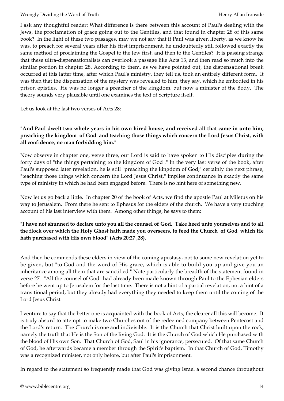I ask any thoughtful reader: What difference is there between this account of Paul's dealing with the Jews, the proclamation of grace going out to the Gentiles, and that found in chapter 28 of this same book? In the light of these two passages, may we not say that if Paul was given liberty, as we know he was, to preach for several years after his first imprisonment, he undoubtedly still followed exactly the same method of proclaiming the Gospel to the Jew first, and then to the Gentiles? It is passing strange that these ultra-dispensationalists can overlook a passage like Acts 13, and then read so much into the similar portion in chapter 28. According to them, as we have pointed out, the dispensational break occurred at this latter time, after which Paul's ministry, they tell us, took an entirely different form. It was then that the dispensation of the mystery was revealed to him, they say, which he embodied in his prison epistles. He was no longer a preacher of the kingdom, but now a minister of the Body. The theory sounds very plausible until one examines the text of Scripture itself.

Let us look at the last two verses of Acts 28:

#### **"And Paul dwelt two whole years in his own hired house, and received all that came in unto him, preaching the kingdom of God and teaching those things which concern the Lord Jesus Christ, with all confidence, no man forbidding him."**

Now observe in chapter one, verse three, our Lord is said to have spoken to His disciples during the forty days of "the things pertaining to the kingdom of God ." In the very last verse of the book, after Paul's supposed later revelation, he is still "preaching the kingdom of God;" certainly the next phrase, "teaching those things which concern the Lord Jesus Christ," implies continuance in exactly the same type of ministry in which he had been engaged before. There is no hint here of something new.

Now let us go back a little. In chapter 20 of the book of Acts, we find the apostle Paul at Miletus on his way to Jerusalem. From there he sent to Ephesus for the elders of the church. We have a very touching account of his last interview with them. Among other things, he says to them:

#### **"I have not shunned to declare unto you all the counsel of God. Take heed unto yourselves and to all the flock over which the Holy Ghost hath made you overseers, to feed the Church of God which He hath purchased with His own blood" (Acts 20:27 ,28).**

And then he commends these elders in view of the coming apostasy, not to some new revelation yet to be given, but "to God and the word of His grace, which is able to build you up and give you an inheritance among all them that are sanctified." Note particularly the breadth of the statement found in verse 27. "All the counsel of God" had already been made known through Paul to the Ephesian elders before he went up to Jerusalem for the last time. There is not a hint of a partial revelation, not a hint of a transitional period, but they already had everything they needed to keep them until the coming of the Lord Jesus Christ.

I venture to say that the better one is acquainted with the book of Acts, the clearer all this will become. It is truly absurd to attempt to make two Churches out of the redeemed company between Pentecost and the Lord's return. The Church is one and indivisible. It is the Church that Christ built upon the rock, namely the truth that He is the Son of the living God. It is the Church of God which He purchased with the blood of His own Son. That Church of God, Saul in his ignorance, persecuted. Of that same Church of God, he afterwards became a member through the Spirit's baptism. In that Church of God, Timothy was a recognized minister, not only before, but after Paul's imprisonment.

In regard to the statement so frequently made that God was giving Israel a second chance throughout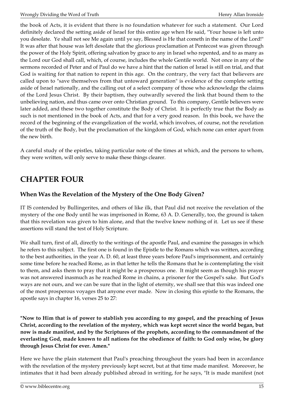the book of Acts, it is evident that there is no foundation whatever for such a statement. Our Lord definitely declared the setting aside of Israel for this entire age when He said, "Your house is left unto you desolate. Ye shall not see Me again until ye say, Blessed is He that cometh in the name of the Lord!" It was after that house was left desolate that the glorious proclamation at Pentecost was given through the power of the Holy Spirit, offering salvation by grace to any in Israel who repented, and to as many as the Lord our God shall call, which, of course, includes the whole Gentile world. Not once in any of the sermons recorded of Peter and of Paul do we have a hint that the nation of Israel is still on trial, and that God is waiting for that nation to repent in this age. On the contrary, the very fact that believers are called upon to "save themselves from that untoward generation" is evidence of the complete setting aside of Israel nationally, and the calling out of a select company of those who acknowledge the claims of the Lord Jesus Christ. By their baptism, they outwardly severed the link that bound them to the unbelieving nation, and thus came over onto Christian ground. To this company, Gentile believers were later added, and these two together constitute the Body of Christ. It is perfectly true that the Body as such is not mentioned in the book of Acts, and that for a very good reason. In this book, we have the record of the beginning of the evangelization of the world, which involves, of course, not the revelation of the truth of the Body, but the proclamation of the kingdom of God, which none can enter apart from the new birth.

A careful study of the epistles, taking particular note of the times at which, and the persons to whom, they were written, will only serve to make these things clearer.

# <span id="page-14-0"></span>**CHAPTER FOUR**

## **When Was the Revelation of the Mystery of the One Body Given?**

IT IS contended by Bullingerites, and others of like ilk, that Paul did not receive the revelation of the mystery of the one Body until he was imprisoned in Rome, 63 A. D. Generally, too, the ground is taken that this revelation was given to him alone, and that the twelve knew nothing of it. Let us see if these assertions will stand the test of Holy Scripture.

We shall turn, first of all, directly to the writings of the apostle Paul, and examine the passages in which he refers to this subject. The first one is found in the Epistle to the Romans which was written, according to the best authorities, in the year A. D. 60, at least three years before Paul's imprisonment, and certainly some time before he reached Rome, as in that letter he tells the Romans that he is contemplating the visit to them, and asks them to pray that it might be a prosperous one. It might seem as though his prayer was not answered inasmuch as he reached Rome in chains, a prisoner for the Gospel's sake. But God's ways are not ours, and we can be sure that in the light of eternity, we shall see that this was indeed one of the most prosperous voyages that anyone ever made. Now in closing this epistle to the Romans, the apostle says in chapter 16, verses 25 to 27:

**"Now to Him that is of power to stablish you according to my gospel, and the preaching of Jesus Christ, according to the revelation of the mystery, which was kept secret since the world began, but now is made manifest, and by the Scriptures of the prophets, according to the commandment of the everlasting God, made known to all nations for the obedience of faith: to God only wise, be glory through Jesus Christ for ever. Amen."**

Here we have the plain statement that Paul's preaching throughout the years had been in accordance with the revelation of the mystery previously kept secret, but at that time made manifest. Moreover, he intimates that it had been already published abroad in writing, for he says, "It is made manifest (not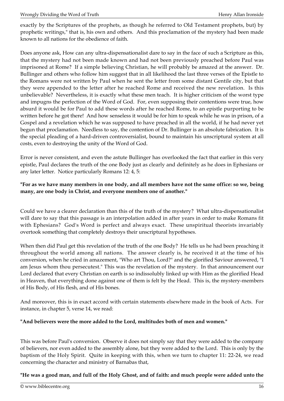exactly by the Scriptures of the prophets, as though he referred to Old Testament prophets, but) by prophetic writings," that is, his own and others. And this proclamation of the mystery had been made known to all nations for the obedience of faith.

Does anyone ask, How can any ultra-dispensationalist dare to say in the face of such a Scripture as this, that the mystery had not been made known and had not been previously preached before Paul was imprisoned at Rome? If a simple believing Christian, he will probably be amazed at the answer. Dr. Bullinger and others who follow him suggest that in all likelihood the last three verses of the Epistle to the Romans were not written by Paul when he sent the letter from some distant Gentile city, but that they were appended to the letter after he reached Rome and received the new revelation. Is this unbelievable? Nevertheless, it is exactly what these men teach. It is higher criticism of the worst type and impugns the perfection of the Word of God. For, even supposing their contentions were true, how absurd it would be for Paul to add these words after he reached Rome, to an epistle purporting to be written before he got there! And how senseless it would be for him to speak while he was in prison, of a Gospel and a revelation which he was supposed to have preached in all the world, if he had never yet begun that proclamation. Needless to say, the contention of Dr. Bullinger is an absolute fabrication. It is the special pleading of a hard-driven controversialist, bound to maintain his unscriptural system at all costs, even to destroying the unity of the Word of God.

Error is never consistent, and even the astute Bullinger has overlooked the fact that earlier in this very epistle, Paul declares the truth of the one Body just as clearly and definitely as he does in Ephesians or any later letter. Notice particularly Romans 12: 4, 5:

#### **"For as we have many members in one body, and all members have not the same office: so we, being many, are one body in Christ, and everyone members one of another."**

Could we have a clearer declaration than this of the truth of the mystery? What ultra-dispensationalist will dare to say that this passage is an interpolation added in after years in order to make Romans fit with Ephesians? God's Word is perfect and always exact. These unspiritual theorists invariably overtook something that completely destroys their unscriptural hypotheses.

When then did Paul get this revelation of the truth of the one Body? He tells us he had been preaching it throughout the world among all nations. The answer clearly is, he received it at the time of his conversion, when he cried in amazement, "Who art Thou, Lord?" and the glorified Saviour answered, "I am Jesus whom thou persecutest." This was the revelation of the mystery. In that announcement our Lord declared that every Christian on earth is so indissolubly linked up with Him as the glorified Head in Heaven, that everything done against one of them is felt by the Head. This is, the mystery-members of His Body, of His flesh, and of His bones.

And moreover, this is in exact accord with certain statements elsewhere made in the book of Acts. For instance, in chapter 5, verse 14, we read:

#### **"And believers were the more added to the Lord, multitudes both of men and women."**

This was before Paul's conversion. Observe it does not simply say that they were added to the company of believers, nor even added to the assembly alone, but they were added to the Lord. This is only by the baptism of the Holy Spirit. Quite in keeping with this, when we turn to chapter 11: 22-24, we read concerning the character and ministry of Barnabas that,

**"He was a good man, and full of the Holy Ghost, and of faith: and much people were added unto the**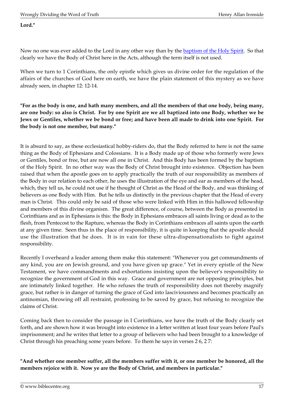#### **Lord."**

Now no one was ever added to the Lord in any other way than by the **baptism of the Holy Spirit.** So that clearly we have the Body of Christ here in the Acts, although the term itself is not used.

When we turn to 1 Corinthians, the only epistle which gives us divine order for the regulation of the affairs of the churches of God here on earth, we have the plain statement of this mystery as we have already seen, in chapter 12: 12-14.

**"For as the body is one, and hath many members, and all the members of that one body, being many, are one body: so also is Christ. For by one Spirit are we all baptized into one Body, whether we be Jews or Gentiles, whether we be bond or free; and have been all made to drink into one Spirit. For the body is not one member, but many."**

It is absurd to say, as these ecclesiastical hobby-riders do, that the Body referred to here is not the same thing as the Body of Ephesians and Colossians. It is a Body made up of those who formerly were Jews or Gentiles, bond or free, but are now all one in Christ. And this Body has been formed by the baptism of the Holy Spirit. In no other way was the Body of Christ brought into existence. Objection has been raised that when the apostle goes on to apply practically the truth of our responsibility as members of the Body in our relation to each other, he uses the illustration of the eye and ear as members of the head, which, they tell us, he could not use if he thought of Christ as the Head of the Body, and was thinking of believers as one Body with Him. But he tells us distinctly in the previous chapter that the Head of every man is Christ. This could only be said of those who were linked with Him in this hallowed fellowship and members of this divine organism. The great difference, of course, between the Body as presented in Corinthians and as in Ephesians is this: the Body in Ephesians embraces all saints living or dead as to the flesh, from Pentecost to the Rapture, whereas the Body in Corinthians embraces all saints upon the earth at any given time. Seen thus in the place of responsibility, it is quite in keeping that the apostle should use the illustration that he does. It is in vain for these ultra-dispensationalists to fight against responsibility.

Recently I overheard a leader among them make this statement: "Whenever you get commandments of any kind, you are on Jewish ground, and you have given up grace." Yet in every epistle of the New Testament, we have commandments and exhortations insisting upon the believer's responsibility to recognize the government of God in this way. Grace and government are not opposing principles, but are intimately linked together. He who refuses the truth of responsibility does not thereby magnify grace, but rather is in danger of turning the grace of God into lasciviousness and becomes practically an antinomian, throwing off all restraint, professing to be saved by grace, but refusing to recognize the claims of Christ.

Coming back then to consider the passage in I Corinthians, we have the truth of the Body clearly set forth, and are shown how it was brought into existence in a letter written at least four years before Paul's imprisonment; and he writes that letter to a group of believers who had been brought to a knowledge of Christ through his preaching some years before. To them he says in verses 2 6, 2 7:

**"And whether one member suffer, all the members suffer with it, or one member be honored, all the members rejoice with it. Now ye are the Body of Christ, and members in particular."**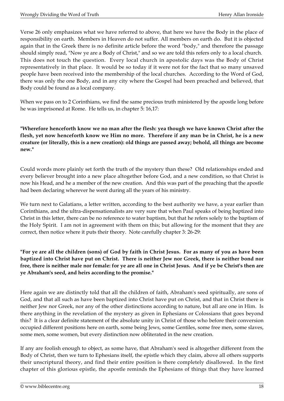Verse 26 only emphasizes what we have referred to above, that here we have the Body in the place of responsibility on earth. Members in Heaven do not suffer. All members on earth do. But it is objected again that in the Greek there is no definite article before the word "body," and therefore the passage should simply read, "Now ye are a Body of Christ," and so we are told this refers only to a local church. This does not touch the question. Every local church in apostolic days was the Body of Christ representatively in that place. It would be so today if it were not for the fact that so many unsaved people have been received into the membership of the local churches. According to the Word of God, there was only the one Body, and in any city where the Gospel had been preached and believed, that Body could be found as a local company.

When we pass on to 2 Corinthians, we find the same precious truth ministered by the apostle long before he was imprisoned at Rome. He tells us, in chapter 5: 16,17:

**"Wherefore henceforth know we no man after the flesh: yea though we have known Christ after the flesh, yet now henceforth know we Him no more. Therefore if any man be in Christ, he is a new creature (or literally, this is a new creation): old things are passed away; behold, all things are become new."**

Could words more plainly set forth the truth of the mystery than these? Old relationships ended and every believer brought into a new place altogether before God, and a new condition, so that Christ is now his Head, and he a member of the new creation. And this was part of the preaching that the apostle had been declaring wherever he went during all the years of his ministry.

We turn next to Galatians, a letter written, according to the best authority we have, a year earlier than Corinthians, and the ultra-dispensationalists are very sure that when Paul speaks of being baptized into Christ in this letter, there can be no reference to water baptism, but that he refers solely to the baptism of the Holy Spirit. I am not in agreement with them on this; but allowing for the moment that they are correct, then notice where it puts their theory. Note carefully chapter 3: 26-29:

**"For ye are all the children (sons) of God by faith in Christ Jesus. For as many of you as have been baptized into Christ have put on Christ. There is neither Jew nor Greek, there is neither bond nor free, there is neither male nor female: for ye are all one in Christ Jesus. And if ye be Christ's then are ye Abraham's seed, and heirs according to the promise."**

Here again we are distinctly told that all the children of faith, Abraham's seed spiritually, are sons of God, and that all such as have been baptized into Christ have put on Christ, and that in Christ there is neither Jew nor Greek, nor any of the other distinctions according to nature, but all are one in Him. Is there anything in the revelation of the mystery as given in Ephesians or Colossians that goes beyond this? It is a clear definite statement of the absolute unity in Christ of those who before their conversion occupied different positions here on earth, some being Jews, some Gentiles, some free men, some slaves, some men, some women, but every distinction now obliterated in the new creation.

If any are foolish enough to object, as some have, that Abraham's seed is altogether different from the Body of Christ, then we turn to Ephesians itself, the epistle which they claim, above all others supports their unscriptural theory, and find their entire position is there completely disallowed. In the first chapter of this glorious epistle, the apostle reminds the Ephesians of things that they have learned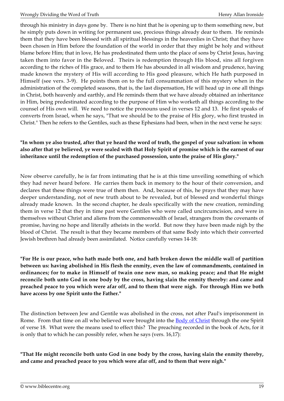through his ministry in days gone by. There is no hint that he is opening up to them something new, but he simply puts down in writing for permanent use, precious things already dear to them. He reminds them that they have been blessed with all spiritual blessings in the heavenlies in Christ; that they have been chosen in Him before the foundation of the world in order that they might be holy and without blame before Him; that in love, He has predestinated them unto the place of sons by Christ Jesus, having taken them into favor in the Beloved. Theirs is redemption through His blood, sins all forgiven according to the riches of His grace, and to them He has abounded in all wisdom and prudence, having made known the mystery of His will according to His good pleasure, which He hath purposed in Himself (see vers. 3-9). He points them on to the full consummation of this mystery when in the administration of the completed seasons, that is, the last dispensation, He will head up in one all things in Christ, both heavenly and earthly, and He reminds them that we have already obtained an inheritance in Him, being predestinated according to the purpose of Him who worketh all things according to the counsel of His own will. We need to notice the pronouns used in verses 12 and 13. He first speaks of converts from Israel, when he says, "That we should be to the praise of His glory, who first trusted in Christ." Then he refers to the Gentiles, such as these Ephesians had been, when in the next verse he says:

#### **"In whom ye also trusted, after that ye heard the word of truth, the gospel of your salvation: in whom also after that ye believed, ye were sealed with that Holy Spirit of promise which is the earnest of our inheritance until the redemption of the purchased possession, unto the praise of His glory."**

Now observe carefully, he is far from intimating that he is at this time unveiling something of which they had never heard before. He carries them back in memory to the hour of their conversion, and declares that these things were true of them then. And, because of this, he prays that they may have deeper understanding, not of new truth about to be revealed, but of blessed and wonderful things already made known. In the second chapter, he deals specifically with the new creation, reminding them in verse 12 that they in time past were Gentiles who were called uncircumcision, and were in themselves without Christ and aliens from the commonwealth of Israel, strangers from the covenants of promise, having no hope and literally atheists in the world. But now they have been made nigh by the blood of Christ. The result is that they became members of that same Body into which their converted Jewish brethren had already been assimilated. Notice carefully verses 14-18:

**"For He is our peace, who hath made both one, and hath broken down the middle wall of partition between us: having abolished in His flesh the enmity, even the law of commandments, contained in ordinances; for to make in Himself of twain one new man, so making peace; and that He might reconcile both unto God in one body by the cross, having slain the enmity thereby: and came and preached peace to you which were afar off, and to them that were nigh. For through Him we both have access by one Spirit unto the Father."**

The distinction between Jew and Gentile was abolished in the cross, not after Paul's imprisonment in Rome. From that time on all who believed were brought into the **Body of Christ** through the one Spirit of verse 18. What were the means used to effect this? The preaching recorded in the book of Acts, for it is only that to which he can possibly refer, when he says (vers. 16,17):

**"That He might reconcile both unto God in one body by the cross, having slain the enmity thereby, and came and preached peace to you which were afar off, and to them that were nigh."**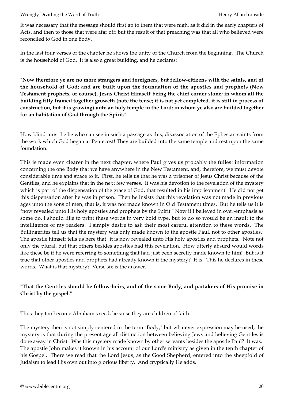It was necessary that the message should first go to them that were nigh, as it did in the early chapters of Acts, and then to those that were afar off; but the result of that preaching was that all who believed were reconciled to God in one Body.

In the last four verses of the chapter he shows the unity of the Church from the beginning. The Church is the household of God. It is also a great building, and he declares:

**"Now therefore ye are no more strangers and foreigners, but fellow-citizens with the saints, and of the household of God; and are built upon the foundation of the apostles and prophets (New Testament prophets, of course), Jesus Christ Himself being the chief corner stone; in whom all the building fitly framed together groweth (note the tense; it is not yet completed, it is still in process of construction, but it is growing) unto an holy temple in the Lord; in whom ye also are builded together for an habitation of God through the Spirit."**

How blind must he be who can see in such a passage as this, disassociation of the Ephesian saints from the work which God began at Pentecost! They are builded into the same temple and rest upon the same foundation.

This is made even clearer in the next chapter, where Paul gives us probably the fullest information concerning the one Body that we have anywhere in the New Testament, and, therefore, we must devote considerable time and space to it. First, he tells us that he was a prisoner of Jesus Christ because of the Gentiles, and he explains that in the next few verses. It was his devotion to the revelation of the mystery which is part of the dispensation of the grace of God, that resulted in his imprisonment. He did not get this dispensation after he was in prison. Then he insists that this revelation was not made in previous ages unto the sons of men, that is, it was not made known in Old Testament times. But he tells us it is "now revealed unto His holy apostles and prophets by the Spirit." Now if I believed in over-emphasis as some do, I should like to print these words in very bold type, but to do so would be an insult to the intelligence of my readers. I simply desire to ask their most careful attention to these words. The Bullingerites tell us that the mystery was only made known to the apostle Paul, not to other apostles. The apostle himself tells us here that "it is now revealed unto His holy apostles and prophets." Note not only the plural, but that others besides apostles had this revelation. How utterly absurd would words like these be if he were referring to something that had just been secretly made known to him! But is it true that other apostles and prophets had already known if the mystery? It is. This he declares in these words. What is that mystery? Verse six is the answer.

#### **"That the Gentiles should be fellow-heirs, and of the same Body, and partakers of His promise in Christ by the gospel."**

Thus they too become Abraham's seed, because they are children of faith.

The mystery then is not simply centered in the term "Body," but whatever expression may be used, the mystery is that during the present age all distinction between believing Jews and believing Gentiles is done away in Christ. Was this mystery made known by other servants besides the apostle Paul? It was. The apostle John makes it known in his account of our Lord's ministry as given in the tenth chapter of his Gospel. There we read that the Lord Jesus, as the Good Shepherd, entered into the sheepfold of Judaism to lead His own out into glorious liberty. And cryptically He adds,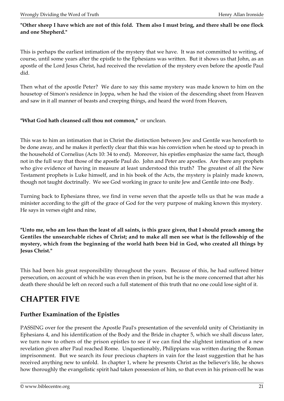#### **"Other sheep I have which are not of this fold. Them also I must bring, and there shall be one flock and one Shepherd."**

This is perhaps the earliest intimation of the mystery that we have. It was not committed to writing, of course, until some years after the epistle to the Ephesians was written. But it shows us that John, as an apostle of the Lord Jesus Christ, had received the revelation of the mystery even before the apostle Paul did.

Then what of the apostle Peter? We dare to say this same mystery was made known to him on the housetop of Simon's residence in Joppa, when he had the vision of the descending sheet from Heaven and saw in it all manner of beasts and creeping things, and heard the word from Heaven,

#### **"What God hath cleansed call thou not common,"** or unclean.

This was to him an intimation that in Christ the distinction between Jew and Gentile was henceforth to be done away, and he makes it perfectly clear that this was his conviction when he stood up to preach in the household of Cornelius (Acts 10: 34 to end). Moreover, his epistles emphasize the same fact, though not in the full way that those of the apostle Paul do. John and Peter are apostles. Are there any prophets who give evidence of having in measure at least understood this truth? The greatest of all the New Testament prophets is Luke himself, and in his book of the Acts, the mystery is plainly made known, though not taught doctrinally. We see God working in grace to unite Jew and Gentile into one Body.

Turning back to Ephesians three, we find in verse seven that the apostle tells us that he was made a minister according to the gift of the grace of God for the very purpose of making known this mystery. He says in verses eight and nine,

**"Unto me, who am less than the least of all saints, is this grace given, that I should preach among the Gentiles the unsearchable riches of Christ; and to make all men see what is the fellowship of the mystery, which from the beginning of the world hath been bid in God, who created all things by Jesus Christ."**

This had been his great responsibility throughout the years. Because of this, he had suffered bitter persecution, on account of which he was even then in prison, but he is the more concerned that after his death there should be left on record such a full statement of this truth that no one could lose sight of it.

# <span id="page-20-0"></span>**CHAPTER FIVE**

## **Further Examination of the Epistles**

PASSING over for the present the Apostle Paul's presentation of the sevenfold unity of Christianity in Ephesians 4, and his identification of the Body and the Bride in chapter 5, which we shall discuss later, we turn now to others of the prison epistles to see if we can find the slightest intimation of a new revelation given after Paul reached Rome. Unquestionably, Philippians was written during the Roman imprisonment. But we search its four precious chapters in vain for the least suggestion that he has received anything new to unfold. In chapter 1, where he presents Christ as the believer's life, he shows how thoroughly the evangelistic spirit had taken possession of him, so that even in his prison-cell he was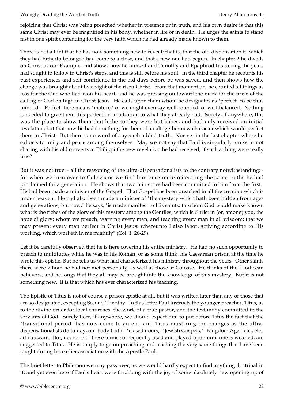rejoicing that Christ was being preached whether in pretence or in truth, and his own desire is that this same Christ may ever be magnified in his body, whether in life or in death. He urges the saints to stand fast in one spirit contending for the very faith which he had already made known to them.

There is not a hint that he has now something new to reveal; that is, that the old dispensation to which they had hitherto belonged had come to a close, and that a new one had begun. In chapter 2 he dwells on Christ as our Example, and shows how he himself and Timothy and Epaphroditus during the years had sought to follow in Christ's steps, and this is still before his soul. In the third chapter he recounts his past experiences and self-confidence in the old days before be was saved, and then shows how the change was brought about by a sight of the risen Christ. From that moment on, he counted all things as loss for the One who had won his heart, and he was pressing on toward the mark for the prize of the calling of God on high in Christ Jesus. He calls upon them whom he designates as "perfect" to be thus minded. "Perfect" here means "mature," or we might even say well-rounded, or well-balanced. Nothing is needed to give them this perfection in addition to what they already had. Surely, if anywhere, this was the place to show them that hitherto they were but babes, and had only received an initial revelation, but that now he had something for them of an altogether new character which would perfect them in Christ. But there is no word of any such added truth. Nor yet in the last chapter where he exhorts to unity and peace among themselves. May we not say that Paul is singularly amiss in not sharing with his old converts at Philippi the new revelation he had received, if such a thing were really true?

But it was not true: - all the reasoning of the ultra-dispensationalists to the contrary notwithstanding; for when we turn over to Colossians we find him once more reiterating the same truths he had proclaimed for a generation. He shows that two ministries had been committed to him from the first. He had been made a minister of the Gospel. That Gospel has been preached in all the creation which is under heaven. He had also been made a minister of "the mystery which hath been hidden from ages and generations, but now," he says, "is made manifest to His saints: to whom God would make known what is the riches of the glory of this mystery among the Gentiles; which is Christ in (or, among) you, the hope of glory: whom we preach, warning every man, and teaching every man in all wisdom; that we may present every man perfect in Christ Jesus: whereunto I also labor, striving according to His working, which worketh in me mightily" (Col. 1: 26-29).

Let it be carefully observed that he is here covering his entire ministry. He had no such opportunity to preach to multitudes while he was in his Roman, or as some think, his Caesarean prison at the time he wrote this epistle. But he tells us what had characterized his ministry throughout the years. Other saints there were whom he had not met personally, as well as those at Colosse. He thinks of the Laodicean believers, and he longs that they all may be brought into the knowledge of this mystery. But it is not something new. It is that which has ever characterized his teaching.

The Epistle of Titus is not of course a prison epistle at all, but it was written later than any of those that are so designated, excepting Second Timothy. In this letter Paul instructs the younger preacher, Titus, as to the divine order for local churches, the work of a true pastor, and the testimony committed to the servants of God. Surely here, if anywhere, we should expect him to put before Titus the fact that the "transitional period" has now come to an end and Titus must ring the changes as the ultradispensationalists do to-day, on "body truth," "closed doors," "Jewish Gospels," "Kingdom Age," etc., etc., ad nauseam. But, no; none of these terms so frequently used and played upon until one is wearied, are suggested to Titus. He is simply to go on preaching and teaching the very same things that have been taught during his earlier association with the Apostle Paul.

The brief letter to Philemon we may pass over, as we would hardly expect to find anything doctrinal in it; and yet even here if Paul's heart were throbbing with the joy of some absolutely new opening up of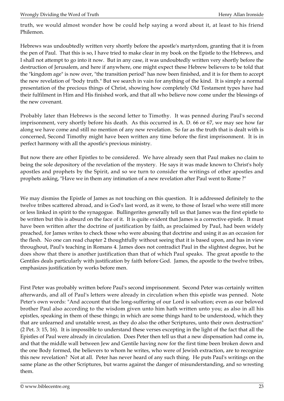truth, we would almost wonder how be could help saying a word about it, at least to his friend Philemon.

Hebrews was undoubtedly written very shortly before the apostle's martyrdom, granting that it is from the pen of Paul. That this is so, I have tried to make clear in my book on the Epistle to the Hebrews, and I shall not attempt to go into it now. But in any case, it was undoubtedly written very shortly before the destruction of Jerusalem, and here if anywhere, one might expect these Hebrew believers to be told that the "kingdom age" is now over, "the transition period" has now been finished, and it is for them to accept the new revelation of "body truth." But we search in vain for anything of the kind. It is simply a normal presentation of the precious things of Christ, showing how completely Old Testament types have had their fulfilment in Him and His finished work, and that all who believe now come under the blessings of the new covenant.

Probably later than Hebrews is the second letter to Timothy. It was penned during Paul's second imprisonment, very shortly before his death. As this occurred in A. D. 66 or 67, we may see how far along we have come and still no mention of any new revelation. So far as the truth that is dealt with is concerned, Second Timothy might have been written any time before the first imprisonment. It is in perfect harmony with all the apostle's previous ministry.

But now there are other Epistles to be considered. We have already seen that Paul makes no claim to being the sole depository of the revelation of the mystery. He says it was made known to Christ's holy apostles and prophets by the Spirit, and so we turn to consider the writings of other apostles and prophets asking, "Have we in them any intimation of a new revelation after Paul went to Rome ?"

We may dismiss the Epistle of James as not touching on this question. It is addressed definitely to the twelve tribes scattered abroad, and is God's last word, as it were, to those of Israel who were still more or less linked in spirit to the synagogue. Bullingerites generally tell us that James was the first epistle to be written but this is absurd on the face of it. It is quite evident that James is a corrective epistle. It must have been written after the doctrine of justification by faith, as proclaimed by Paul, had been widely preached, for James writes to check those who were abusing that doctrine and using it as an occasion for the flesh. No one can read chapter 2 thoughtfully without seeing that it is based upon, and has in view throughout, Paul's teaching in Romans 4. James does not contradict Paul in the slightest degree, but he does show that there is another justification than that of which Paul speaks. The great apostle to the Gentiles deals particularly with justification by faith before God. James, the apostle to the twelve tribes, emphasizes justification by works before men.

First Peter was probably written before Paul's second imprisonment. Second Peter was certainly written afterwards, and all of Paul's letters were already in circulation when this epistle was penned. Note Peter's own words: "And account that the long-suffering of our Lord is salvation; even as our beloved brother Paul also according to the wisdom given unto him hath written unto you; as also in all his epistles, speaking in them of these things; in which are some things hard to be understood, which they that are unlearned and unstable wrest, as they do also the other Scriptures, unto their own destruction" (2 Pet. 3: 15, 16). It is impossible to understand these verses excepting in the light of the fact that all the Epistles of Paul were already in circulation. Does Peter then tell us that a new dispensation had come in, and that the middle wall between Jew and Gentile having now for the first time been broken down and the one Body formed, the believers to whom he writes, who were of Jewish extraction, are to recognize this new revelation? Not at all. Peter has never heard of any such thing. He puts Paul's writings on the same plane as the other Scriptures, but warns against the danger of misunderstanding, and so wresting them.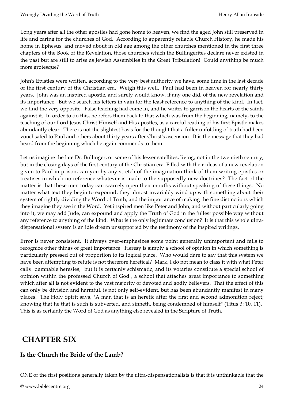Long years after all the other apostles had gone home to heaven, we find the aged John still preserved in life and caring for the churches of God. According to apparently reliable Church History, he made his home in Ephesus, and moved about in old age among the other churches mentioned in the first three chapters of the Book of the Revelation, those churches which the Bullingerites declare never existed in the past but are still to arise as Jewish Assemblies in the Great Tribulation! Could anything be much more grotesque?

John's Epistles were written, according to the very best authority we have, some time in the last decade of the first century of the Christian era. Weigh this well. Paul had been in heaven for nearly thirty years. John was an inspired apostle, and surely would know, if any one did, of the new revelation and its importance. But we search his letters in vain for the least reference to anything of the kind. In fact, we find the very opposite. False teaching had come in, and he writes to garrison the hearts of the saints against it. In order to do this, he refers them back to that which was from the beginning, namely, to the teaching of our Lord Jesus Christ Himself and His apostles, as a careful reading of his first Epistle makes abundantly clear. There is not the slightest basis for the thought that a fuller unfolding of truth had been vouchsafed to Paul and others about thirty years after Christ's ascension. It is the message that they had heard from the beginning which he again commends to them.

Let us imagine the late Dr. Bullinger, or some of his lesser satellites, living, not in the twentieth century, but in the closing days of the first century of the Christian era. Filled with their ideas of a new revelation given to Paul in prison, can you by any stretch of the imagination think of them writing epistles or treatises in which no reference whatever is made to the supposedly new doctrines? The fact of the matter is that these men today can scarcely open their mouths without speaking of these things. No matter what text they begin to expound, they almost invariably wind up with something about their system of rightly dividing the Word of Truth, and the importance of making the fine distinctions which they imagine they see in the Word. Yet inspired men like Peter and John, and without particularly going into it, we may add Jude, can expound and apply the Truth of God in the fullest possible way without any reference to anything of the kind. What is the only legitimate conclusion? It is that this whole ultradispensational system is an idle dream unsupported by the testimony of the inspired writings.

Error is never consistent. It always over-emphasizes some point generally unimportant and fails to recognize other things of great importance. Heresy is simply a school of opinion in which something is particularly pressed out of proportion to its logical place. Who would dare to say that this system we have been attempting to refute is not therefore heretical? Mark, I do not mean to class it with what Peter calls "damnable heresies," but it is certainly schismatic, and its votaries constitute a special school of opinion within the professed Church of God , a school that attaches great importance to something which after all is not evident to the vast majority of devoted and godly believers. That the effect of this can only be division and harmful, is not only self-evident, but has been abundantly manifest in many places. The Holy Spirit says, "A man that is an heretic after the first and second admonition reject; knowing that he that is such is subverted, and sinneth, being condemned of himself" (Titus 3: 10, 11). This is as certainly the Word of God as anything else revealed in the Scripture of Truth.

# <span id="page-23-0"></span> **CHAPTER SIX**

## **Is the Church the Bride of the Lamb?**

ONE of the first positions generally taken by the ultra-dispensationalists is that it is unthinkable that the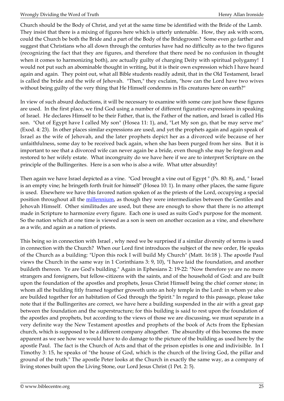Church should be the Body of Christ, and yet at the same time be identified with the Bride of the Lamb. They insist that there is a mixing of figures here which is utterly untenable. How, they ask with scorn, could the Church be both the Bride and a part of the Body of the Bridegroom? Some even go farther and suggest that Christians who all down through the centuries have had no difficulty as to the two figures (recognizing the fact that they are figures, and therefore that there need be no confusion in thought when it comes to harmonizing both), are actually guilty of charging Deity with spiritual polygamy! I would not put such an abominable thought in writing, but it is their own expression which I have heard again and again. They point out, what all Bible students readily admit, that in the Old Testament, Israel is called the bride and the wife of Jehovah. "Then," they exclaim, "how can the Lord have two wives without being guilty of the very thing that He Himself condemns in His creatures here on earth?"

In view of such absurd deductions, it will be necessary to examine with some care just how these figures are used. In the first place, we find God using a number of different figurative expressions in speaking of Israel. He declares Himself to be their Father, that is, the Father of the nation, and Israel is called His son. "Out of Egypt have I called My son" (Hosea 11: 1), and, "Let My son go, that be may serve me" (Exod. 4: 23). In other places similar expressions are used, and yet the prophets again and again speak of Israel as the wife of Jehovah, and the later prophets depict her as a divorced wife because of her unfaithfulness, some day to be received back again, when she has been purged from her sins. But it is important to see that a divorced wife can never again be a bride, even though she may be forgiven and restored to her wifely estate. What incongruity do we have here if we are to interpret Scripture on the principle of the Bullingerites. Here is a son who is also a wife. What utter absurdity!

Then again we have Israel depicted as a vine. "God brought a vine out of Egypt " (Ps. 80: 8), and, " Israel is an empty vine; he bringeth forth fruit for himself" (Hosea 10: 1). In many other places, the same figure is used. Elsewhere we have this favored nation spoken of as the priests of the Lord, occupying a special position throughout all the [millennium,](http://biblecentre.org/content.php?mode=8&cat=13) as though they were intermediaries between the Gentiles and Jehovah Himself. Other similitudes are used, but these are enough to show that there is no attempt made in Scripture to harmonize every figure. Each one is used as suits God's purpose for the moment. So the nation which at one time is viewed as a son is seen on another occasion as a vine, and elsewhere as a wife, and again as a nation of priests.

This being so in connection with Israel , why need we be surprised if a similar diversity of terms is used in connection with the Church? When our Lord first introduces the subject of the new order, He speaks of the Church as a building: "Upon this rock I will build My Church" (Matt. 16:18 ). The apostle Paul views the Church in the same way in 1 Corinthians 3: 9, 10), "I have laid the foundation, and another buildeth thereon. Ye are God's building." Again in Ephesians 2: 19-22: "Now therefore ye are no more strangers and foreigners, but fellow-citizens with the saints, and of the household of God: and are built upon the foundation of the apostles and prophets, Jesus Christ Himself being the chief corner stone; in whom all the building fitly framed together groweth unto an holy temple in the Lord: in whom ye also are builded together for an habitation of God through the Spirit." In regard to this passage, please take note that if the Bullingerites are correct, we have here a building suspended in the air with a great gap between the foundation and the superstructure; for this building is said to rest upon the foundation of the apostles and prophets, but according to the views of those we are discussing, we must separate in a very definite way the New Testament apostles and prophets of the book of Acts from the Ephesian church, which is supposed to be a different company altogether. The absurdity of this becomes the more apparent as we see how we would have to do damage to the picture of the building as used here by the apostle Paul. The fact is the Church of Acts and that of the prison epistles is one and indivisible. In I Timothy 3: 15, he speaks of "the house of God, which is the church of the living God, the pillar and ground of the truth." The apostle Peter looks at the Church in exactly the same way, as a company of living stones built upon the Living Stone, our Lord Jesus Christ (1 Pet. 2: 5).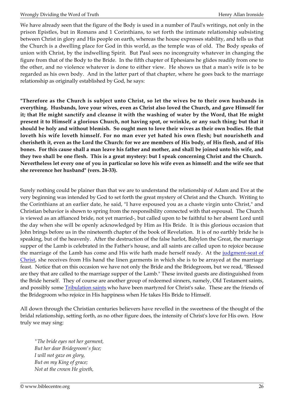We have already seen that the figure of the Body is used in a number of Paul's writings, not only in the prison Epistles, but in Romans and 1 Corinthians, to set forth the intimate relationship subsisting between Christ in glory and His people on earth, whereas the house expresses stability, and tells us that the Church is a dwelling place for God in this world, as the temple was of old. The Body speaks of union with Christ, by the indwelling Spirit. But Paul sees no incongruity whatever in changing the figure from that of the Body to the Bride. In the fifth chapter of Ephesians he glides readily from one to the other, and no violence whatever is done to either view. He shows us that a man's wife is to be regarded as his own body. And in the latter part of that chapter, where he goes back to the marriage relationship as originally established by God, he says:

**"Therefore as the Church is subject unto Christ, so let the wives be to their own husbands in everything. Husbands, love your wives, even as Christ also loved the Church, and gave Himself for it; that He might sanctify and cleanse it with the washing of water by the Word, that He might present it to Himself a glorious Church, not having spot, or wrinkle, or any such thing; but that it should be holy and without blemish. So ought men to love their wives as their own bodies. He that loveth his wife loveth himself. For no man ever yet hated his own flesh; but nourisheth and cherisheth it, even as the Lord the Church: for we are members of His body, of His flesh, and of His bones. For this cause shall a man leave his father and mother, and shall be joined unto his wife, and they two shall be one flesh. This is a great mystery: but I speak concerning Christ and the Church. Nevertheless let every one of you in particular so love his wife even as himself: and the wife see that she reverence her husband" (vers. 24-33).**

Surely nothing could be plainer than that we are to understand the relationship of Adam and Eve at the very beginning was intended by God to set forth the great mystery of Christ and the Church. Writing to the Corinthians at an earlier date, he said, "I have espoused you as a chaste virgin unto Christ," and Christian behavior is shown to spring from the responsibility connected with that espousal. The Church is viewed as an affianced bride, not yet married-, but called upon to be faithful to her absent Lord until the day when she will be openly acknowledged by Him as His Bride. It is this glorious occasion that John brings before us in the nineteenth chapter of the book of Revelation. It is of no earthly bride he is speaking, but of the heavenly. After the destruction of the false harlot, Babylon the Great, the marriage supper of the Lamb is celebrated in the Father's house, and all saints are called upon to rejoice because the marriage of the Lamb has come and His wife hath made herself ready. At the [judgment-seat of](http://biblecentre.org/content.php?mode=7&item=764) [Christ,](http://biblecentre.org/content.php?mode=7&item=764) she receives from His hand the linen garments in which she is to be arrayed at the marriage feast. Notice that on this occasion we have not only the Bride and the Bridegroom, but we read, "Blessed are they that are called to the marriage supper of the Lamb." These invited guests are distinguished from the Bride herself. They of course are another group of redeemed sinners, namely, Old Testament saints, and possibly some **Tribulation saints** who have been martyred for Christ's sake. These are the friends of the Bridegroom who rejoice in His happiness when He takes His Bride to Himself.

All down through the Christian centuries believers have revelled in the sweetness of the thought of the bridal relationship, setting forth, as no other figure does, the intensity of Christ's love for His own. How truly we may sing:

*"The bride eyes not her garment, But her dear Bridegroom's face; I will not gaze on glory, But on my King of grace; Not at the crown He giveth,*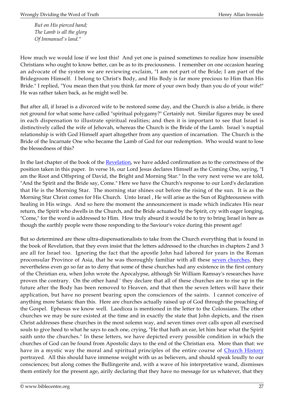*But on His pierced hand; The Lamb is all the glory Of Immanuel's land."*

How much we would lose if we lost this! And yet one is pained sometimes to realize how insensible Christians who ought to know better, can be as to its preciousness. I remember on one occasion hearing an advocate of the system we are reviewing exclaim, "I am not part of the Bride; I am part of the Bridegroom Himself. I belong to Christ's Body, and His Body is far more precious to Him than His Bride." I replied, "You mean then that you think far more of your own body than you do of your wife!" He was rather taken back, as he might well be.

But after all, if Israel is a divorced wife to be restored some day, and the Church is also a bride, is there not ground for what some have called "spiritual polygamy?" Certainly not. Similar figures may be used in each dispensation to illustrate spiritual realities; and then it is important to see that Israel is distinctively called the wife of Jehovah, whereas the Church is the Bride of the Lamb. Israel 's nuptial relationship is with God Himself apart altogether from any question of incarnation. The Church is the Bride of the Incarnate One who became the Lamb of God for our redemption. Who would want to lose the blessedness of this?

In the last chapter of the book of the <u>[Revelation](http://biblecentre.org/content.php?mode=7&item=229)</u>, we have added confirmation as to the correctness of the position taken in this paper. In verse 16, our Lord Jesus declares Himself as the Coming One, saying, "I am the Root and Offspring of David, the Bright and Morning Star." In the very next verse we are told, "And the Spirit and the Bride say, Come." Here we have the Church's response to our Lord's declaration that He is the Morning Star. The morning star shines out before the rising of the sun. It is as the Morning Star Christ comes for His Church. Unto Israel , He will arise as the Sun of Righteousness with healing in His wings. And so here the moment the announcement is made which indicates His near return, the Spirit who dwells in the Church, and the Bride actuated by the Spirit, cry with eager longing, "Come," for the word is addressed to Him. How truly absurd it would be to try to bring Israel in here as though the earthly people were those responding to the Saviour's voice during this present age!

But so determined are these ultra-dispensationalists to take from the Church everything that is found in the book of Revelation, that they even insist that the letters addressed to the churches in chapters 2 and 3 are all for Israel too. Ignoring the fact that the apostle John had labored for years in the Roman proconsular Province of Asia, that he was thoroughly familiar with all these [seven churches,](http://biblecentre.org/content.php?mode=7&item=329) they nevertheless even go so far as to deny that some of these churches had any existence in the first century of the Christian era, when John wrote the Apocalypse, although Sir William Ramsay's researches have proven the contrary. On the other hand ' they declare that all of these churches are to rise up in the future after the Body has been removed to Heaven, and that then the seven letters will have their application, but have no present bearing upon the consciences of the saints. I cannot conceive of anything more Satanic than this. Here are churches actually raised up of God through the preaching of the Gospel. Ephesus we know well. Laodicea is mentioned in the letter to the Colossians. The other churches we may be sure existed at the time and in exactly the state that John depicts, and the risen Christ addresses these churches in the most solemn way, and seven times over calls upon all exercised souls to give heed to what he says to each one, crying, "He that hath an ear, let him hear what the Spirit saith unto the churches." In these letters, we have depicted every possible condition in which the churches of God can be found from Apostolic days to the end of the Christian era. More than that: we have in a mystic way the moral and spiritual principles of the entire course of [Church History](http://biblecentre.org/content.php?mode=8&cat=8) portrayed. All this should have immense weight with us as believers, and should speak loudly to our consciences; but along comes the Bullingerite and, with a wave of his interpretative wand, dismisses them entirely for the present age, airily declaring that they have no message for us whatever, that they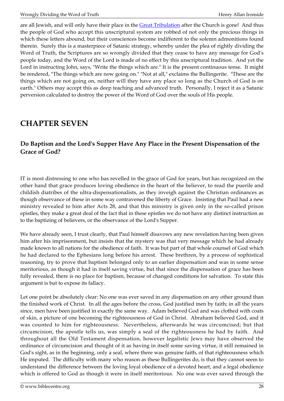are all Jewish, and will only have their place in the **Great Tribulation** after the Church is gone! And thus the people of God who accept this unscriptural system are robbed of not only the precious things in which these letters abound, but their consciences become indifferent to the solemn admonitions found therein. Surely this is a masterpiece of Satanic strategy, whereby under the plea of rightly dividing the Word of Truth, the Scriptures are so wrongly divided that they cease to have any message for God's people today, and the Word of the Lord is made of no effect by this unscriptural tradition. And yet the Lord in instructing John, says, "Write the things which are." It is the present continuous tense. It might be rendered, "The things which are now going on." "Not at all," exclaims the Bullingerite. "These are the things which are not going on, neither will they have any place so long as the Church of God is on earth." Others may accept this as deep teaching and advanced truth. Personally, I reject it as a Satanic perversion calculated to destroy the power of the Word of God over the souls of His people.

# <span id="page-27-0"></span>**CHAPTER SEVEN**

## **Do Baptism and the Lord's Supper Have Any Place in the Present Dispensation of the Grace of God?**

IT is most distressing to one who has revelled in the grace of God for years, but has recognized on the other hand that grace produces loving obedience in the heart of the believer, to read the puerile and childish diatribes of the ultra-dispensationalists, as they inveigh against the Christian ordinances as though observance of these in some way contravened the liberty of Grace. Insisting that Paul had a new ministry revealed to him after Acts 28, and that this ministry is given only in the so-called prison epistles, they make a great deal of the fact that in these epistles we do not have any distinct instruction as to the baptizing of believers, or the observance of the Lord's Supper.

We have already seen, I trust clearly, that Paul himself disavows any new revelation having been given him after his imprisonment, but insists that the mystery was that very message which he had already made known to all nations for the obedience of faith. It was but part of that whole counsel of God which he had declared to the Ephesians long before his arrest. These brethren, by a process of sophistical reasoning, try to prove that baptism belonged only to an earlier dispensation and was in some sense meritorious, as though it had in itself saving virtue, but that since the dispensation of grace has been fully revealed, there is no place for baptism, because of changed conditions for salvation. To state this argument is but to expose its fallacy.

Let one point be absolutely clear: No one was ever saved in any dispensation on any other ground than the finished work of Christ. In all the ages before the cross, God justified men by faith; in all the years since, men have been justified in exactly the same way. Adam believed God and was clothed with coats of skin, a picture of one becoming the righteousness of God in Christ. Abraham believed God, and it was counted to him for righteousness. Nevertheless, afterwards he was circumcised; but that circumcision, the apostle tells us, was simply a seal of the righteousness he had by faith. And throughout all the Old Testament dispensation, however legalistic Jews may have observed the ordinance of circumcision and thought of it as having in itself some saving virtue, it still remained in God's sight, as in the beginning, only a seal, where there was genuine faith, of that righteousness which He imputed. The difficulty with many who reason as these Bullingerites do, is that they cannot seem to understand the difference between the loving loyal obedience of a devoted heart, and a legal obedience which is offered to God as though it were in itself meritorious. No one was ever saved through the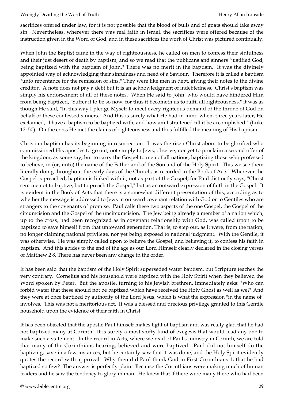sacrifices offered under law, for it is not possible that the blood of bulls and of goats should take away sin. Nevertheless, wherever there was real faith in Israel, the sacrifices were offered because of the instruction given in the Word of God, and in these sacrifices the work of Christ was pictured continually.

When John the Baptist came in the way of righteousness, he called on men to confess their sinfulness and their just desert of death by baptism, and so we read that the publicans and sinners "justified God, being baptized with the baptism of John." There was no merit in the baptism. It was the divinely appointed way of acknowledging their sinfulness and need of a Saviour. Therefore it is called a baptism "unto repentance for the remission of sins." They were like men in debt, giving their notes to the divine creditor. A note does not pay a debt but it is an acknowledgment of indebtedness. Christ's baptism was simply his endorsement of all of these notes. When He said to John, who would have hindered Him from being baptized, "Suffer it to be so now, for thus it becometh us to fulfil all righteousness," it was as though He said, "In this way I pledge Myself to meet every righteous demand of the throne of God on behalf of these confessed sinners." And this is surely what He had in mind when, three years later, He exclaimed, "I have a baptism to be baptized with; and how am I straitened till it be accomplished!" (Luke 12: 50). On the cross He met the claims of righteousness and thus fulfilled the meaning of His baptism.

Christian baptism has its beginning in resurrection. It was the risen Christ about to be glorified who commissioned His apostles to go out, not simply to Jews, observe, nor yet to proclaim a second offer of the kingdom, as some say, but to carry the Gospel to men of all nations, baptizing those who professed to believe, in (or, unto) the name of the Father and of the Son and of the Holy Spirit. This we see them literally doing throughout the early days of the Church, as recorded in the Book of Acts. Wherever the Gospel is preached, baptism is linked with it, not as part of the Gospel, for Paul distinctly says, "Christ sent me not to baptize, but to preach the Gospel," but as an outward expression of faith in the Gospel. It is evident in the Book of Acts that there is a somewhat different presentation of this, according as to whether the message is addressed to Jews in outward covenant relation with God or to Gentiles who are strangers to the covenants of promise. Paul calls these two aspects of the one Gospel, the Gospel of the circumcision and the Gospel of the uncircumcision. The Jew being already a member of a nation which, up to the cross, had been recognized as in covenant relationship with God, was called upon to be baptized to save himself from that untoward generation. That is, to step out, as it were, from the nation, no longer claiming national privilege, nor yet being exposed to national judgment. With the Gentile, it was otherwise. He was simply called upon to believe the Gospel, and believing it, to confess his faith in baptism. And this abides to the end of the age as our Lord Himself clearly declared in the closing verses of Matthew 2 8. There has never been any change in the order.

It has been said that the baptism of the Holy Spirit superseded water baptism, but Scripture teaches the very contrary. Cornelius and his household were baptized with the Holy Spirit when they believed the Word spoken by Peter. But the apostle, turning to his Jewish brethren, immediately asks: "Who can forbid water that these should not be baptized which have received the Holy Ghost as well as we?" And they were at once baptized by authority of the Lord Jesus, which is what the expression "in the name of" involves. This was not a meritorious act. It was a blessed and precious privilege granted to this Gentile household upon the evidence of their faith in Christ.

It has been objected that the apostle Paul himself makes light of baptism and was really glad that he had not baptized many at Corinth. It is surely a most shifty kind of exegesis that would lead any one to make such a statement. In the record in Acts, where we read of Paul's ministry in Corinth, we are told that many of the Corinthians hearing, believed and were baptized. Paul did not himself do the baptizing, save in a few instances, but he certainly saw that it was done, and the Holy Spirit evidently quotes the record with approval. Why then did Paul thank God in First Corinthians 1, that he had baptized so few? The answer is perfectly plain. Because the Corinthians were making much of human leaders and he saw the tendency to glory in man. He knew that if there were many there who had been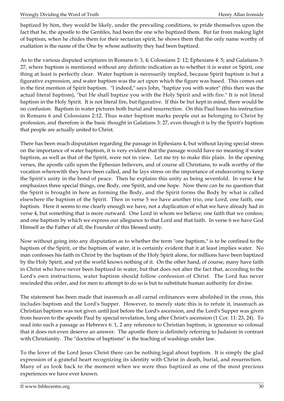baptized by him, they would be likely, under the prevailing conditions, to pride themselves upon the fact that he, the apostle to the Gentiles, had been the one who baptized them. But far from making light of baptism, when he chides them for their sectarian spirit, he shows them that the only name worthy of exaltation is the name of the One by whose authority they had been baptized.

As to the various disputed scriptures in Romans 6: 3, 4; Colossians 2: 12; Ephesians 4: 5; and Galatians 3: 27, where baptism is mentioned without any definite indication as to whether it is water or Spirit, one thing at least is perfectly clear. Water baptism is necessarily implied, because Spirit baptism is but a figurative expression, and water baptism was the act upon which the figure was based. This comes out in the first mention of Spirit baptism. "I indeed," says John, "baptize you with water" (this then was the actual literal baptism), "but He shall baptize you with the Holy Spirit and with fire." It is not literal baptism in the Holy Spirit. It is not literal fire, but figurative. If this be but kept in mind, there would be no confusion. Baptism in water pictures both burial and resurrection. On this Paul bases his instruction in Romans 6 and Colossians 2:12. Thus water baptism marks people out as belonging to Christ by profession, and therefore is the basic thought in Galatians 3: 27, even though it is by the Spirit's baptism that people are actually united to Christ.

There has been much disputation regarding the passage in Ephesians 4, but without laying special stress on the importance of water baptism, it is very evident that the passage would have no meaning if water baptism, as well as that of the Spirit, were not in view. Let me try to make this plain. In the opening verses, the apostle calls upon the Ephesian believers, and of course all Christians, to walk worthy of the vocation wherewith they have been called, and he lays stress on the importance of endeavoring to keep the Spirit's unity in the bond of peace. Then he explains this unity as being sevenfold. In verse 4 he emphasizes three special things, one Body, one Spirit, and one hope. Now there can be no question that the Spirit is brought in here as forming the Body, and the Spirit forms the Body by what is called elsewhere the baptism of the Spirit. Then in verse 5 we have another trio, one Lord, one faith, one baptism. Here it seems to me clearly enough we have, not a duplication of what we have already had in verse 4, but something that is more outward. One Lord in whom we believe; one faith that we confess; and one baptism by which we express our allegiance to that Lord and that faith. In verse 6 we have God Himself as the Father of all, the Founder of this blessed unity.

Now without going into any disputation as to whether the term "one baptism," is to be confined to the baptism of the Spirit, or the baptism of water, it is certainly evident that it at least implies water. No man confesses his faith in Christ by the baptism of the Holy Spirit alone, for millions have been baptized by the Holy Spirit, and yet the world knows nothing of it. On the other hand, of course, many have faith in Christ who have never been baptized in water, but that does not alter the fact that, according to the Lord's own instructions, water baptism should follow confession of Christ. The Lord has never rescinded this order, and for men to attempt to do so is but to substitute human authority for divine.

The statement has been made that inasmuch as all carnal ordinances were abolished in the cross, this includes baptism and the Lord's Supper. However, to merely state this is to refute it, inasmuch as Christian baptism was not given until just before the Lord's ascension, and the Lord's Supper was given from heaven to the apostle Paul by special revelation, long after Christ's ascension (1 Cor. 11: 23, 24). To read into such a passage as Hebrews 6: 1, 2 any reference to Christian baptism, is ignorance so colossal that it does not even deserve an answer. The apostle there is definitely referring to Judaism in contrast with Christianity. The "doctrine of baptisms" is the teaching of washings under law.

To the lover of the Lord Jesus Christ there can be nothing legal about baptism. It is simply the glad expression of a grateful heart recognizing its identity with Christ in death, burial, and resurrection. Many of us look back to the moment when we were thus baptized as one of the most precious experiences we have ever known.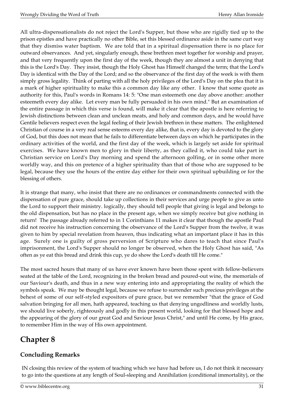All ultra-dispensationalists do not reject the Lord's Supper, but those who are rigidly tied up to the prison epistles and have practically no other Bible, set this blessed ordinance aside in the same curt way that they dismiss water baptism. We are told that in a spiritual dispensation there is no place for outward observances. And yet, singularly enough, these brethren meet together for worship and prayer, and that very frequently upon the first day of the week, though they are almost a unit in denying that this is the Lord's Day. They insist, though the Holy Ghost has Himself changed the term; that the Lord's Day is identical with the Day of the Lord; and so the observance of the first day of the week is with them simply gross legality. Think of parting with all the holy privileges of the Lord's Day on the plea that it is a mark of higher spirituality to make this a common day like any other. I know that some quote as authority for this, Paul's words in Romans 14: 5: "One man esteemeth one day above another: another esteemeth every day alike. Let every man be fully persuaded in his own mind." But an examination of the entire passage in which this verse is found, will make it clear that the apostle is here referring to Jewish distinctions between clean and unclean meats, and holy and common days, and he would have Gentile believers respect even the legal feeling of their Jewish brethren in these matters. The enlightened Christian of course in a very real sense esteems every day alike, that is, every day is devoted to the glory of God, but this does not mean that he fails to differentiate between days on which he participates in the ordinary activities of the world, and the first day of the week, which is largely set aside for spiritual exercises. We have known men to glory in their liberty, as they called it, who could take part in Christian service on Lord's Day morning and spend the afternoon golfing, or in some other more worldly way, and this on pretence of a higher spirituality than that of those who are supposed to be legal, because they use the hours of the entire day either for their own spiritual upbuilding or for the blessing of others.

It is strange that many, who insist that there are no ordinances or commandments connected with the dispensation of pure grace, should take up collections in their services and urge people to give as unto the Lord to support their ministry. logically, they should tell people that giving is legal and belongs to the old dispensation, but has no place in the present age, when we simply receive but give nothing in return! The passage already referred to in 1 Corinthians 11 makes it clear that though the apostle Paul did not receive his instruction concerning the observance of the Lord's Supper from the twelve, it was given to him by special revelation from heaven, thus indicating what an important place it has in this age. Surely one is guilty of gross perversion of Scripture who dares to teach that since Paul's imprisonment, the Lord's Supper should no longer be observed, when the Holy Ghost has said, "As often as ye eat this bread and drink this cup, ye do show the Lord's death till He come."

The most sacred hours that many of us have ever known have been those spent with fellow-believers seated at the table of the Lord, recognizing in the broken bread and poured-out wine, the memorials of our Saviour's death, and thus in a new way entering into and appropriating the reality of which the symbols speak. We may be thought legal, because we refuse to surrender such precious privileges at the behest of some of our self-styled expositors of pure grace, but we remember "that the grace of God salvation bringing for all men, hath appeared, teaching us that denying ungodliness and worldly lusts, we should live soberly, righteously and godly in this present world, looking for that blessed hope and the appearing of the glory of our great God and Saviour Jesus Christ," and until He come, by His grace, to remember Him in the way of His own appointment.

# <span id="page-30-0"></span>**Chapter 8**

## **Concluding Remarks**

IN closing this review of the system of teaching which we have had before us, I do not think it necessary to go into the questions at any length of Soul-sleeping and Annihilation (conditional immortality), or the